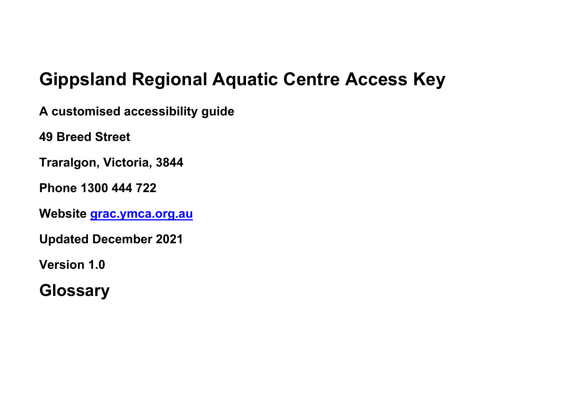# **Gippsland Regional Aquatic Centre Access Key**

**A customised accessibility guide**

**49 Breed Street**

**Traralgon, Victoria, 3844**

**Phone 1300 444 722**

**Website [grac.ymca.org.au](https://grac.ymca.org.au/)**

**Updated December 2021**

**Version 1.0**

**Glossary**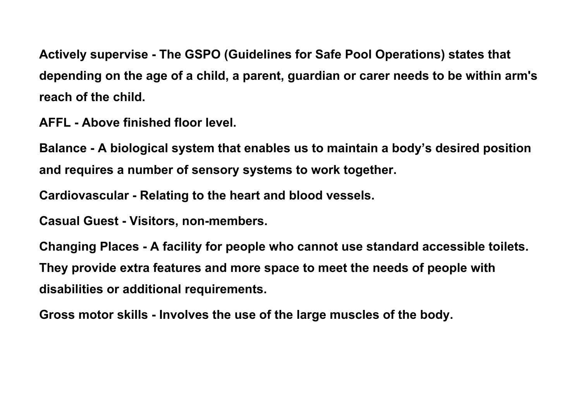**Actively supervise - The GSPO (Guidelines for Safe Pool Operations) states that depending on the age of a child, a parent, guardian or carer needs to be within arm's reach of the child.**

**AFFL - Above finished floor level.**

**Balance - A biological system that enables us to maintain a body's desired position and requires a number of sensory systems to work together.**

**Cardiovascular - Relating to the heart and blood vessels.**

**Casual Guest - Visitors, non-members.**

**Changing Places - A facility for people who cannot use standard accessible toilets. They provide extra features and more space to meet the needs of people with disabilities or additional requirements.**

**Gross motor skills - Involves the use of the large muscles of the body.**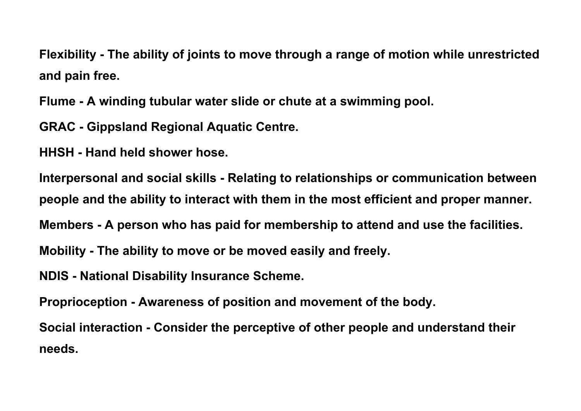**Flexibility - The ability of joints to move through a range of motion while unrestricted and pain free.**

**Flume - A winding tubular water slide or chute at a swimming pool.**

**GRAC - Gippsland Regional Aquatic Centre.**

**HHSH - Hand held shower hose.**

**Interpersonal and social skills - Relating to relationships or communication between people and the ability to interact with them in the most efficient and proper manner.**

**Members - A person who has paid for membership to attend and use the facilities.**

**Mobility - The ability to move or be moved easily and freely.**

**NDIS - National Disability Insurance Scheme.**

**Proprioception - Awareness of position and movement of the body.**

**Social interaction - Consider the perceptive of other people and understand their needs.**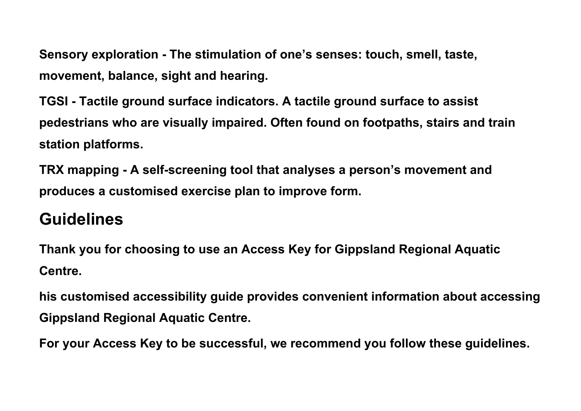**Sensory exploration - The stimulation of one's senses: touch, smell, taste, movement, balance, sight and hearing.**

**TGSI - Tactile ground surface indicators. A tactile ground surface to assist pedestrians who are visually impaired. Often found on footpaths, stairs and train station platforms.**

**TRX mapping - A self-screening tool that analyses a person's movement and produces a customised exercise plan to improve form.**

## **Guidelines**

**Thank you for choosing to use an Access Key for Gippsland Regional Aquatic Centre.**

**his customised accessibility guide provides convenient information about accessing Gippsland Regional Aquatic Centre.**

**For your Access Key to be successful, we recommend you follow these guidelines.**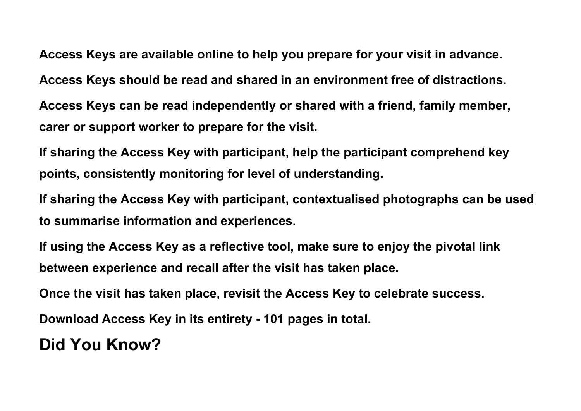**Access Keys are available online to help you prepare for your visit in advance. Access Keys should be read and shared in an environment free of distractions.**

**Access Keys can be read independently or shared with a friend, family member, carer or support worker to prepare for the visit.**

**If sharing the Access Key with participant, help the participant comprehend key points, consistently monitoring for level of understanding.**

**If sharing the Access Key with participant, contextualised photographs can be used to summarise information and experiences.**

**If using the Access Key as a reflective tool, make sure to enjoy the pivotal link between experience and recall after the visit has taken place.**

**Once the visit has taken place, revisit the Access Key to celebrate success.**

**Download Access Key in its entirety - 101 pages in total.**

**Did You Know?**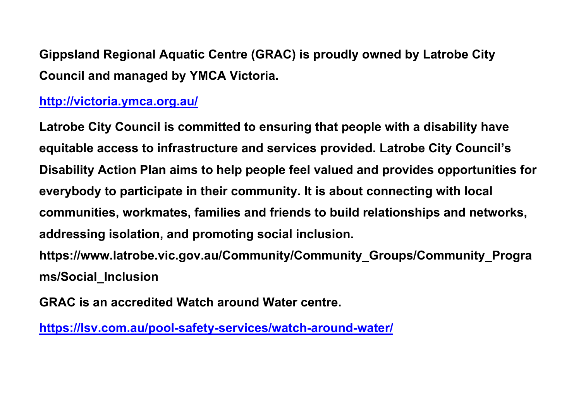**Gippsland Regional Aquatic Centre (GRAC) is proudly owned by Latrobe City Council and managed by YMCA Victoria.**

#### **<http://victoria.ymca.org.au/>**

**Latrobe City Council is committed to ensuring that people with a disability have equitable access to infrastructure and services provided. Latrobe City Council's Disability Action Plan aims to help people feel valued and provides opportunities for everybody to participate in their community. It is about connecting with local communities, workmates, families and friends to build relationships and networks, addressing isolation, and promoting social inclusion. https://www.latrobe.vic.gov.au/Community/Community\_Groups/Community\_Progra ms/Social\_Inclusion**

**GRAC is an accredited Watch around Water centre.** 

**<https://lsv.com.au/pool-safety-services/watch-around-water/>**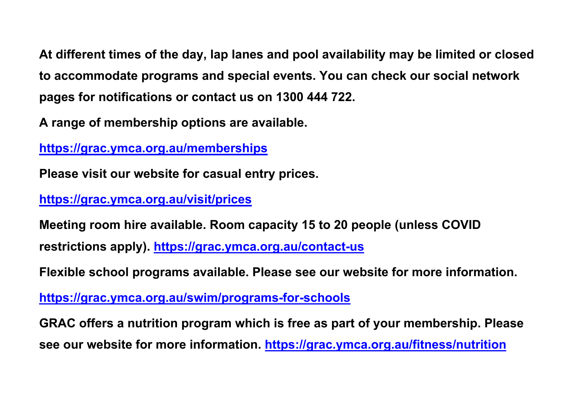**At different times of the day, lap lanes and pool availability may be limited or closed to accommodate programs and special events. You can check our social network pages for notifications or contact us on 1300 444 722.**

**A range of membership options are available.** 

**<https://grac.ymca.org.au/memberships>**

**Please visit our website for casual entry prices.** 

**<https://grac.ymca.org.au/visit/prices>**

**Meeting room hire available. Room capacity 15 to 20 people (unless COVID restrictions apply).<https://grac.ymca.org.au/contact-us>**

**Flexible school programs available. Please see our website for more information.**

**<https://grac.ymca.org.au/swim/programs-for-schools>**

**GRAC offers a nutrition program which is free as part of your membership. Please see our website for more information.<https://grac.ymca.org.au/fitness/nutrition>**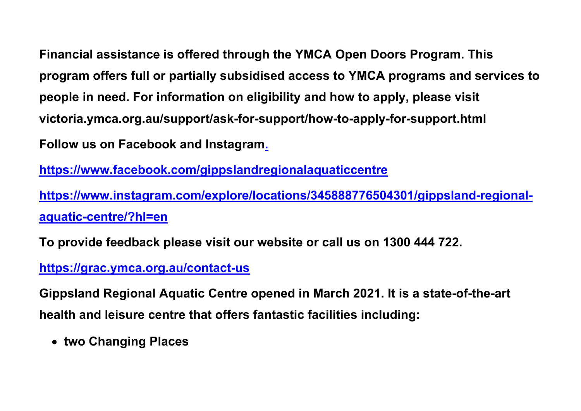**Financial assistance is offered through the YMCA Open Doors Program. This program offers full or partially subsidised access to YMCA programs and services to people in need. For information on eligibility and how to apply, please visit victoria.ymca.org.au/support/ask-for-support/how-to-apply-for-support.html Follow us on Facebook and Instagram.**

**<https://www.facebook.com/gippslandregionalaquaticcentre>**

**[https://www.instagram.com/explore/locations/345888776504301/gippsland-regional](https://www.instagram.com/explore/locations/345888776504301/gippsland-regional-aquatic-centre/?hl=en)[aquatic-centre/?hl=en](https://www.instagram.com/explore/locations/345888776504301/gippsland-regional-aquatic-centre/?hl=en)**

**To provide feedback please visit our website or call us on 1300 444 722.**

#### **<https://grac.ymca.org.au/contact-us>**

**Gippsland Regional Aquatic Centre opened in March 2021. It is a state-of-the-art health and leisure centre that offers fantastic facilities including:**

• **two Changing Places**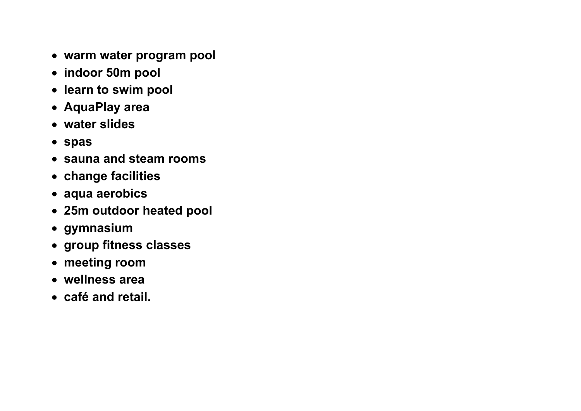- **warm water program pool**
- **indoor 50m pool**
- **learn to swim pool**
- **AquaPlay area**
- **water slides**
- **spas**
- **sauna and steam rooms**
- **change facilities**
- **aqua aerobics**
- **25m outdoor heated pool**
- **gymnasium**
- **group fitness classes**
- **meeting room**
- **wellness area**
- **café and retail.**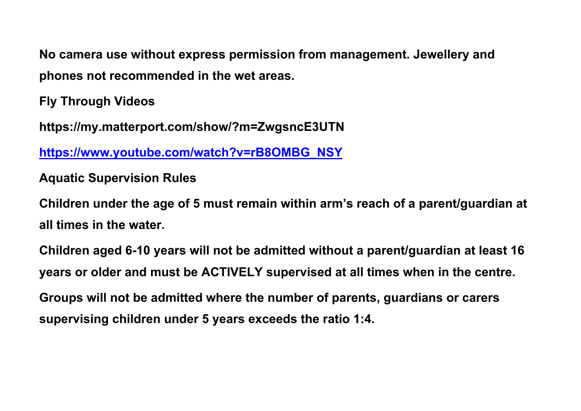**No camera use without express permission from management. Jewellery and phones not recommended in the wet areas.** 

**Fly Through Videos**

**https://my.matterport.com/show/?m=ZwgsncE3UTN**

**[https://www.youtube.com/watch?v=rB8OMBG\\_NSY](https://www.youtube.com/watch?v=rB8OMBG_NSY)**

**Aquatic Supervision Rules**

**Children under the age of 5 must remain within arm's reach of a parent/guardian at all times in the water.**

**Children aged 6-10 years will not be admitted without a parent/guardian at least 16 years or older and must be ACTIVELY supervised at all times when in the centre. Groups will not be admitted where the number of parents, guardians or carers supervising children under 5 years exceeds the ratio 1:4.**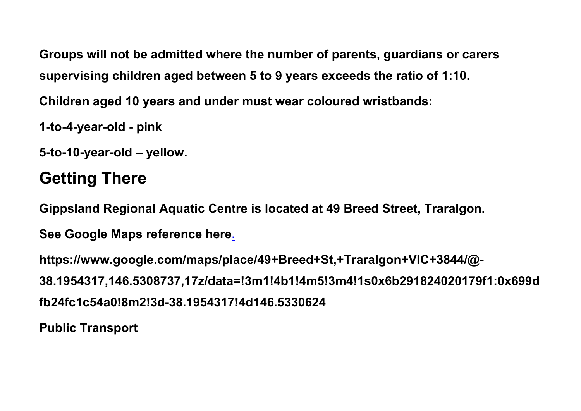**Groups will not be admitted where the number of parents, guardians or carers supervising children aged between 5 to 9 years exceeds the ratio of 1:10.**

**Children aged 10 years and under must wear coloured wristbands:**

**1-to-4-year-old - pink**

**5-to-10-year-old – yellow.**

## **Getting There**

**Gippsland Regional Aquatic Centre is located at 49 Breed Street, Traralgon.**

**See Google Maps reference here.**

**https://www.google.com/maps/place/49+Breed+St,+Traralgon+VIC+3844/@- 38.1954317,146.5308737,17z/data=!3m1!4b1!4m5!3m4!1s0x6b291824020179f1:0x699d fb24fc1c54a0!8m2!3d-38.1954317!4d146.5330624**

**Public Transport**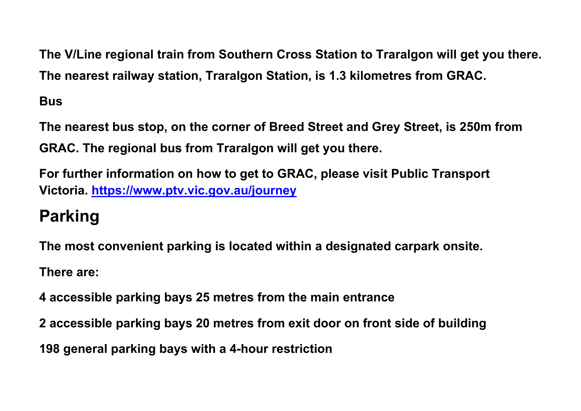**The V/Line regional train from Southern Cross Station to Traralgon will get you there. The nearest railway station, Traralgon Station, is 1.3 kilometres from GRAC.** 

**Bus**

**The nearest bus stop, on the corner of Breed Street and Grey Street, is 250m from GRAC. The regional bus from Traralgon will get you there.**

**For further information on how to get to GRAC, please visit Public Transport Victoria. <https://www.ptv.vic.gov.au/journey>**

# **Parking**

**The most convenient parking is located within a designated carpark onsite.**

**There are:**

**4 accessible parking bays 25 metres from the main entrance**

**2 accessible parking bays 20 metres from exit door on front side of building**

**198 general parking bays with a 4-hour restriction**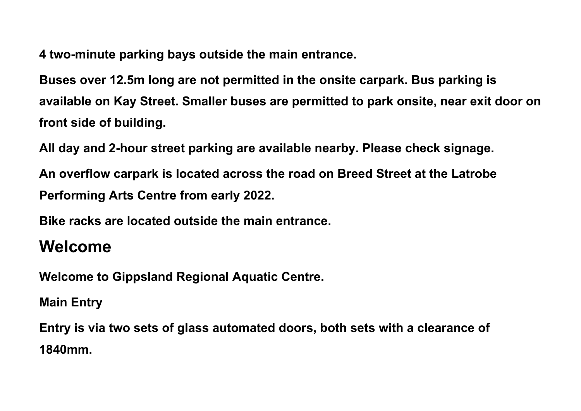**4 two-minute parking bays outside the main entrance.**

**Buses over 12.5m long are not permitted in the onsite carpark. Bus parking is available on Kay Street. Smaller buses are permitted to park onsite, near exit door on front side of building.**

**All day and 2-hour street parking are available nearby. Please check signage.** 

**An overflow carpark is located across the road on Breed Street at the Latrobe Performing Arts Centre from early 2022.**

**Bike racks are located outside the main entrance.**

### **Welcome**

**Welcome to Gippsland Regional Aquatic Centre.** 

**Main Entry**

**Entry is via two sets of glass automated doors, both sets with a clearance of 1840mm.**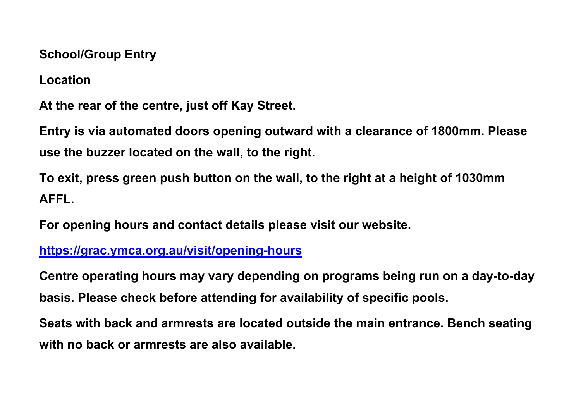**School/Group Entry**

**Location**

**At the rear of the centre, just off Kay Street.**

**Entry is via automated doors opening outward with a clearance of 1800mm. Please use the buzzer located on the wall, to the right.**

**To exit, press green push button on the wall, to the right at a height of 1030mm AFFL.** 

**For opening hours and contact details please visit our website.**

#### **<https://grac.ymca.org.au/visit/opening-hours>**

**Centre operating hours may vary depending on programs being run on a day-to-day basis. Please check before attending for availability of specific pools.**

**Seats with back and armrests are located outside the main entrance. Bench seating with no back or armrests are also available.**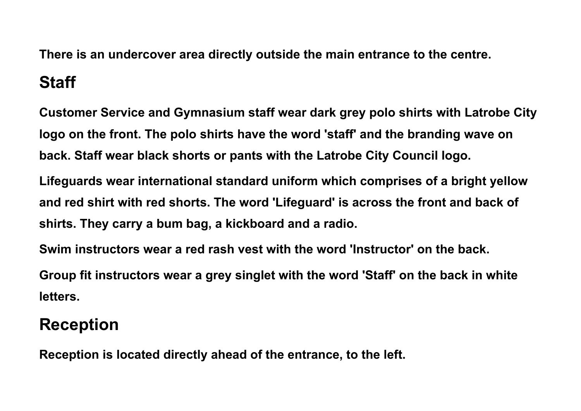**There is an undercover area directly outside the main entrance to the centre. Staff**

**Customer Service and Gymnasium staff wear dark grey polo shirts with Latrobe City logo on the front. The polo shirts have the word 'staff' and the branding wave on back. Staff wear black shorts or pants with the Latrobe City Council logo.**

**Lifeguards wear international standard uniform which comprises of a bright yellow and red shirt with red shorts. The word 'Lifeguard' is across the front and back of shirts. They carry a bum bag, a kickboard and a radio.**

**Swim instructors wear a red rash vest with the word 'Instructor' on the back.** 

**Group fit instructors wear a grey singlet with the word 'Staff' on the back in white letters.**

## **Reception**

**Reception is located directly ahead of the entrance, to the left.**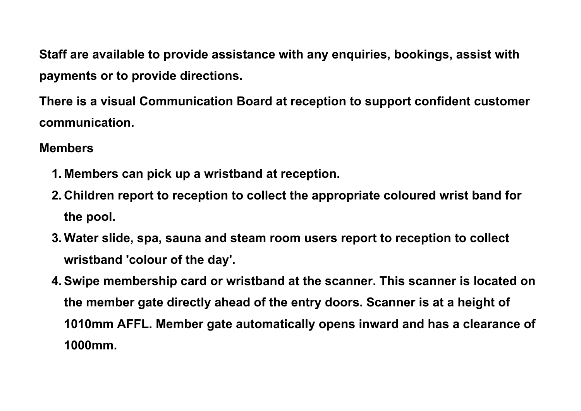**Staff are available to provide assistance with any enquiries, bookings, assist with payments or to provide directions.**

**There is a visual Communication Board at reception to support confident customer communication.** 

#### **Members**

- **1. Members can pick up a wristband at reception.**
- **2. Children report to reception to collect the appropriate coloured wrist band for the pool.**
- **3. Water slide, spa, sauna and steam room users report to reception to collect wristband 'colour of the day'.**
- **4.Swipe membership card or wristband at the scanner. This scanner is located on the member gate directly ahead of the entry doors. Scanner is at a height of 1010mm AFFL. Member gate automatically opens inward and has a clearance of 1000mm.**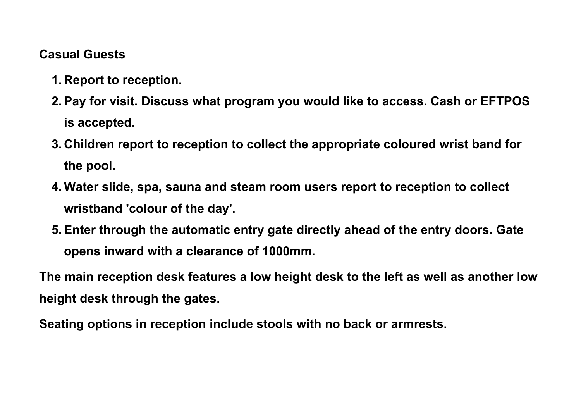#### **Casual Guests**

- **1. Report to reception.**
- **2.Pay for visit. Discuss what program you would like to access. Cash or EFTPOS is accepted.**
- **3. Children report to reception to collect the appropriate coloured wrist band for the pool.**
- **4. Water slide, spa, sauna and steam room users report to reception to collect wristband 'colour of the day'.**
- **5.Enter through the automatic entry gate directly ahead of the entry doors. Gate opens inward with a clearance of 1000mm.**

**The main reception desk features a low height desk to the left as well as another low height desk through the gates.**

**Seating options in reception include stools with no back or armrests.**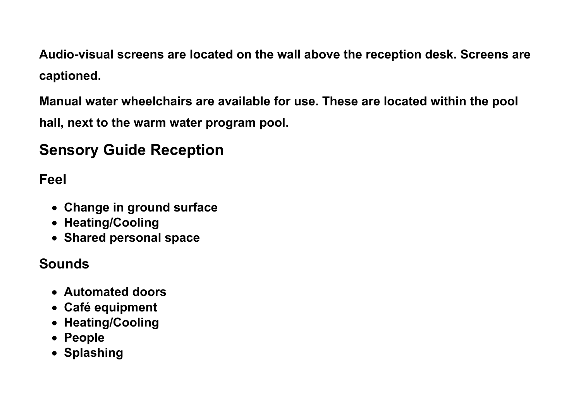**Audio-visual screens are located on the wall above the reception desk. Screens are captioned.**

**Manual water wheelchairs are available for use. These are located within the pool** 

**hall, next to the warm water program pool.**

## **Sensory Guide Reception**

**Feel**

- **Change in ground surface**
- **Heating/Cooling**
- **Shared personal space**

#### **Sounds**

- **Automated doors**
- **Café equipment**
- **Heating/Cooling**
- **People**
- **Splashing**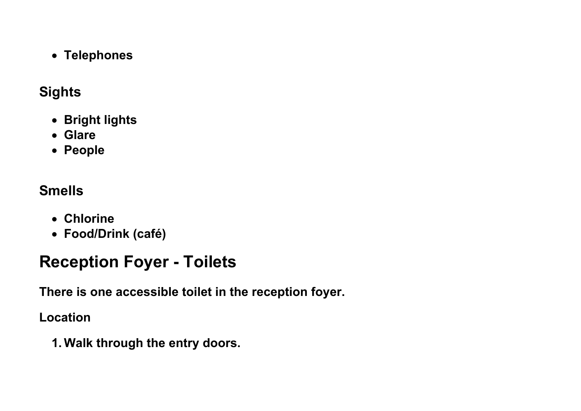• **Telephones**

#### **Sights**

- **Bright lights**
- **Glare**
- **People**

## **Smells**

- **Chlorine**
- **Food/Drink (café)**

# **Reception Foyer - Toilets**

**There is one accessible toilet in the reception foyer.**

**Location**

**1. Walk through the entry doors.**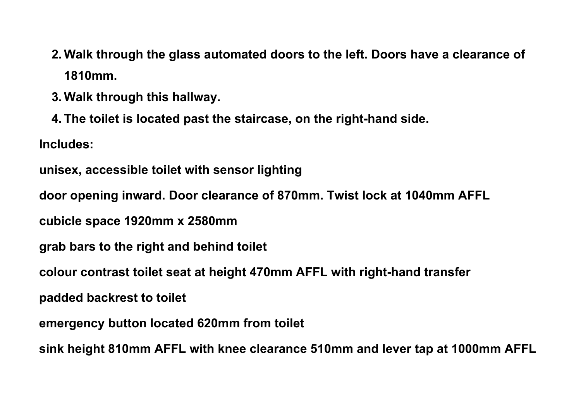- **2. Walk through the glass automated doors to the left. Doors have a clearance of 1810mm.**
- **3. Walk through this hallway.**
- **4. The toilet is located past the staircase, on the right-hand side.**

**Includes:** 

```
unisex, accessible toilet with sensor lighting
```
**door opening inward. Door clearance of 870mm. Twist lock at 1040mm AFFL**

**cubicle space 1920mm x 2580mm** 

- **grab bars to the right and behind toilet**
- **colour contrast toilet seat at height 470mm AFFL with right-hand transfer**

**padded backrest to toilet**

**emergency button located 620mm from toilet**

**sink height 810mm AFFL with knee clearance 510mm and lever tap at 1000mm AFFL**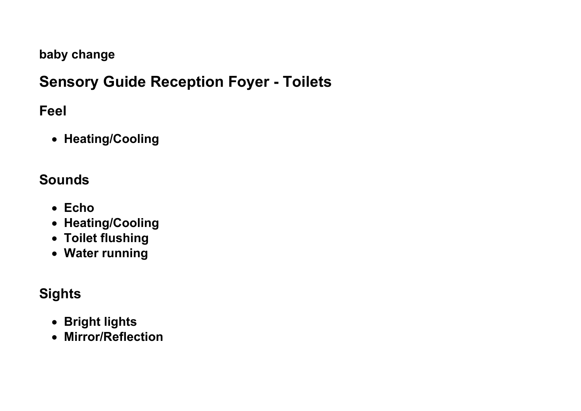#### **baby change**

## **Sensory Guide Reception Foyer - Toilets**

#### **Feel**

• **Heating/Cooling**

### **Sounds**

- **Echo**
- **Heating/Cooling**
- **Toilet flushing**
- **Water running**

### **Sights**

- **Bright lights**
- **Mirror/Reflection**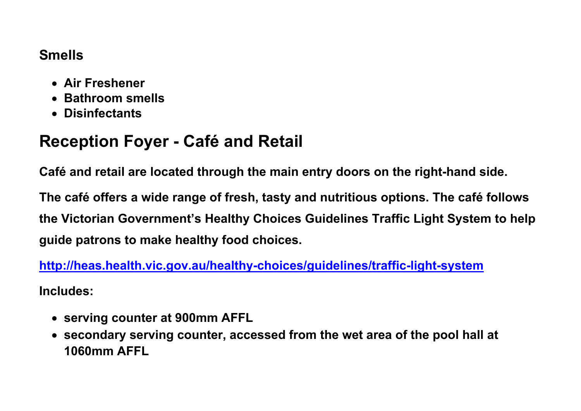#### **Smells**

- **Air Freshener**
- **Bathroom smells**
- **Disinfectants**

## **Reception Foyer - Café and Retail**

**Café and retail are located through the main entry doors on the right-hand side.**

**The café offers a wide range of fresh, tasty and nutritious options. The café follows the Victorian Government's Healthy Choices Guidelines Traffic Light System to help guide patrons to make healthy food choices.** 

**<http://heas.health.vic.gov.au/healthy-choices/guidelines/traffic-light-system> Includes:**

- **serving counter at 900mm AFFL**
- **secondary serving counter, accessed from the wet area of the pool hall at 1060mm AFFL**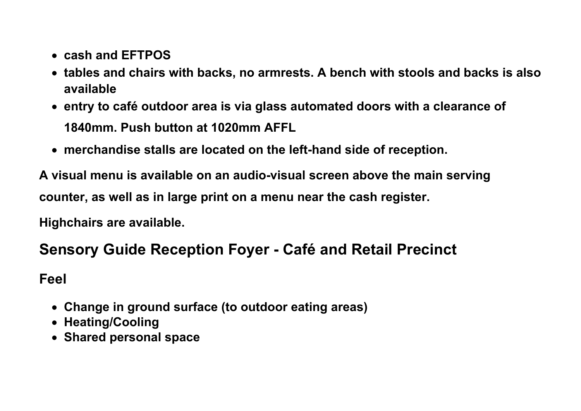- **cash and EFTPOS**
- **tables and chairs with backs, no armrests. A bench with stools and backs is also available**
- **entry to café outdoor area is via glass automated doors with a clearance of 1840mm. Push button at 1020mm AFFL**
- **merchandise stalls are located on the left-hand side of reception.**

**A visual menu is available on an audio-visual screen above the main serving counter, as well as in large print on a menu near the cash register.**

**Highchairs are available.**

### **Sensory Guide Reception Foyer - Café and Retail Precinct**

**Feel**

- **Change in ground surface (to outdoor eating areas)**
- **Heating/Cooling**
- **Shared personal space**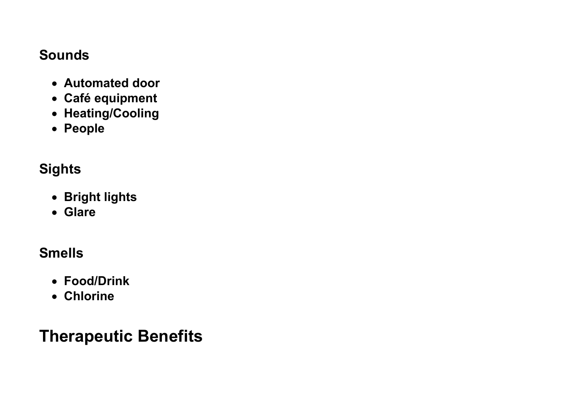#### **Sounds**

- **Automated door**
- **Café equipment**
- **Heating/Cooling**
- **People**

#### **Sights**

- **Bright lights**
- **Glare**

#### **Smells**

- **Food/Drink**
- **Chlorine**

## **Therapeutic Benefits**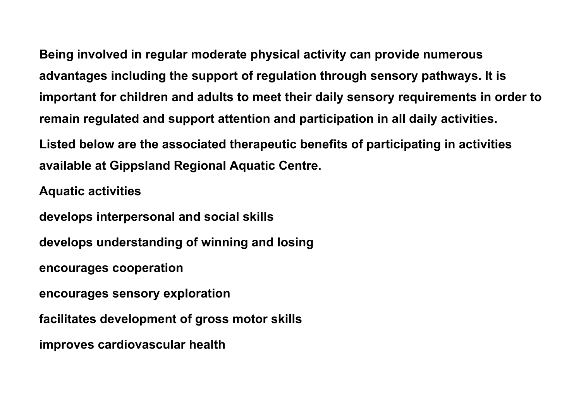**Being involved in regular moderate physical activity can provide numerous advantages including the support of regulation through sensory pathways. It is important for children and adults to meet their daily sensory requirements in order to remain regulated and support attention and participation in all daily activities.**

**Listed below are the associated therapeutic benefits of participating in activities available at Gippsland Regional Aquatic Centre.**

**Aquatic activities**

**develops interpersonal and social skills develops understanding of winning and losing encourages cooperation encourages sensory exploration facilitates development of gross motor skills**

**improves cardiovascular health**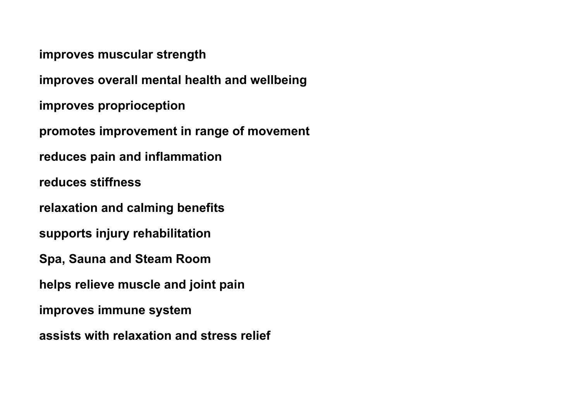**improves muscular strength**

**improves overall mental health and wellbeing**

**improves proprioception**

**promotes improvement in range of movement**

**reduces pain and inflammation**

**reduces stiffness**

**relaxation and calming benefits**

**supports injury rehabilitation**

**Spa, Sauna and Steam Room**

**helps relieve muscle and joint pain**

**improves immune system**

**assists with relaxation and stress relief**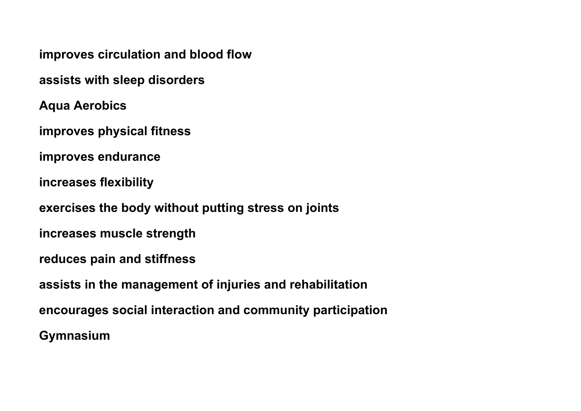**improves circulation and blood flow**

**assists with sleep disorders**

**Aqua Aerobics**

**improves physical fitness**

**improves endurance**

**increases flexibility**

**exercises the body without putting stress on joints**

**increases muscle strength**

**reduces pain and stiffness**

**assists in the management of injuries and rehabilitation**

**encourages social interaction and community participation**

**Gymnasium**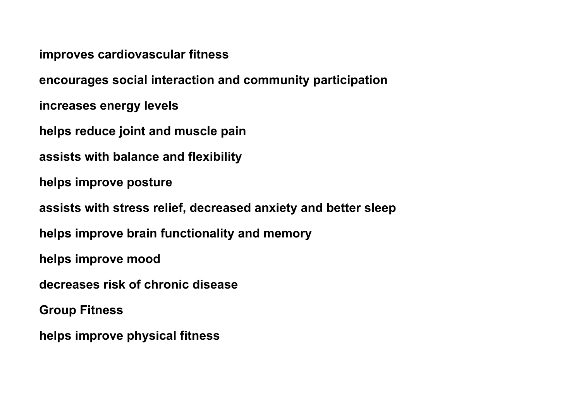**improves cardiovascular fitness**

**encourages social interaction and community participation**

**increases energy levels**

**helps reduce joint and muscle pain**

**assists with balance and flexibility**

**helps improve posture**

**assists with stress relief, decreased anxiety and better sleep**

**helps improve brain functionality and memory**

**helps improve mood**

**decreases risk of chronic disease**

**Group Fitness**

**helps improve physical fitness**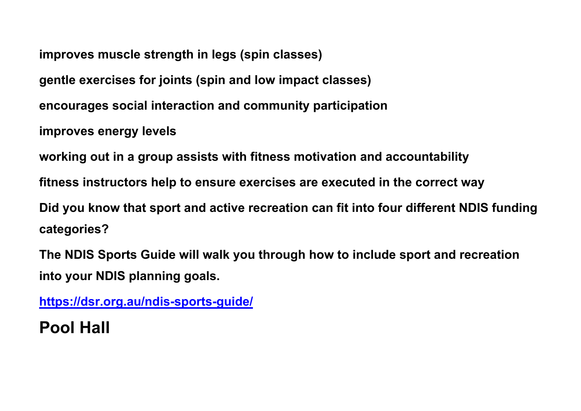**improves muscle strength in legs (spin classes)**

**gentle exercises for joints (spin and low impact classes)**

**encourages social interaction and community participation**

**improves energy levels**

**working out in a group assists with fitness motivation and accountability**

**fitness instructors help to ensure exercises are executed in the correct way**

**Did you know that sport and active recreation can fit into four different NDIS funding categories?**

**The NDIS Sports Guide will walk you through how to include sport and recreation into your NDIS planning goals.**

**<https://dsr.org.au/ndis-sports-guide/>**

## **Pool Hall**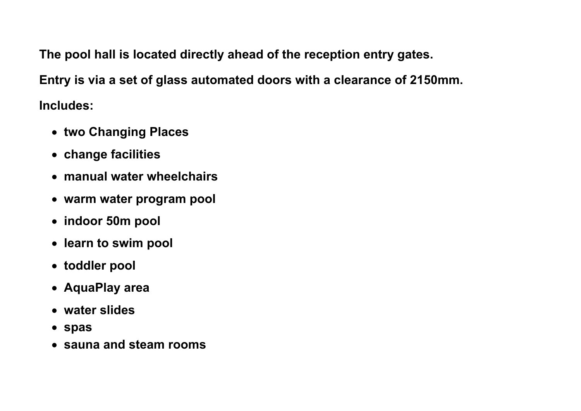**The pool hall is located directly ahead of the reception entry gates.**

**Entry is via a set of glass automated doors with a clearance of 2150mm.** 

**Includes:**

- **two Changing Places**
- **change facilities**
- **manual water wheelchairs**
- **warm water program pool**
- **indoor 50m pool**
- **learn to swim pool**
- **toddler pool**
- **AquaPlay area**
- **water slides**
- **spas**
- **sauna and steam rooms**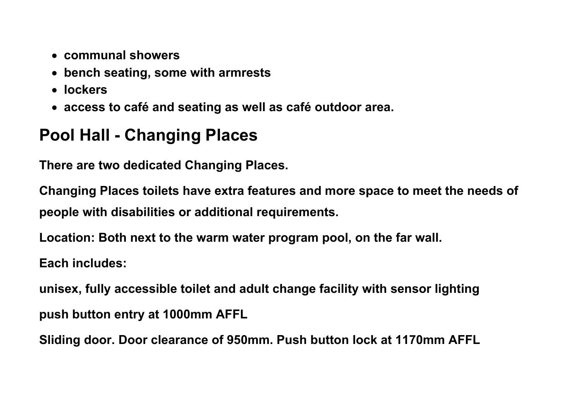- **communal showers**
- **bench seating, some with armrests**
- **lockers**
- **access to café and seating as well as café outdoor area.**

## **Pool Hall - Changing Places**

**There are two dedicated Changing Places.**

**Changing Places toilets have extra features and more space to meet the needs of people with disabilities or additional requirements.**

**Location: Both next to the warm water program pool, on the far wall.**

**Each includes:** 

**unisex, fully accessible toilet and adult change facility with sensor lighting push button entry at 1000mm AFFL**

**Sliding door. Door clearance of 950mm. Push button lock at 1170mm AFFL**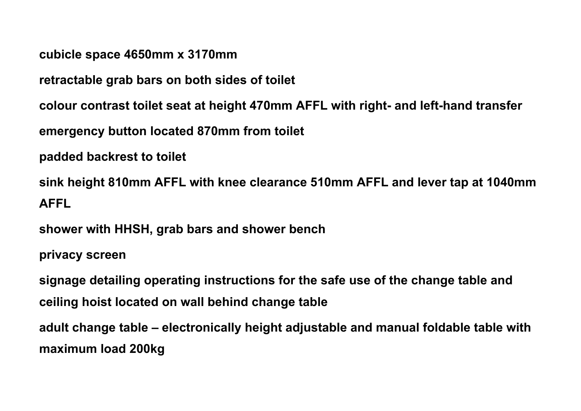**cubicle space 4650mm x 3170mm**

**retractable grab bars on both sides of toilet**

**colour contrast toilet seat at height 470mm AFFL with right- and left-hand transfer**

**emergency button located 870mm from toilet**

**padded backrest to toilet**

**sink height 810mm AFFL with knee clearance 510mm AFFL and lever tap at 1040mm AFFL**

**shower with HHSH, grab bars and shower bench**

**privacy screen**

**signage detailing operating instructions for the safe use of the change table and ceiling hoist located on wall behind change table**

**adult change table – electronically height adjustable and manual foldable table with maximum load 200kg**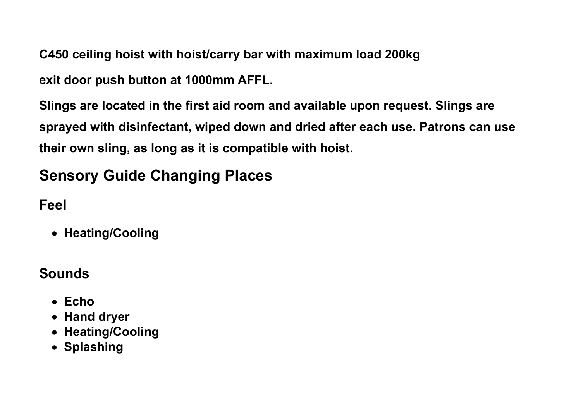**C450 ceiling hoist with hoist/carry bar with maximum load 200kg**

**exit door push button at 1000mm AFFL.**

**Slings are located in the first aid room and available upon request. Slings are sprayed with disinfectant, wiped down and dried after each use. Patrons can use their own sling, as long as it is compatible with hoist.**

## **Sensory Guide Changing Places**

**Feel**

• **Heating/Cooling**

#### **Sounds**

- **Echo**
- **Hand dryer**
- **Heating/Cooling**
- **Splashing**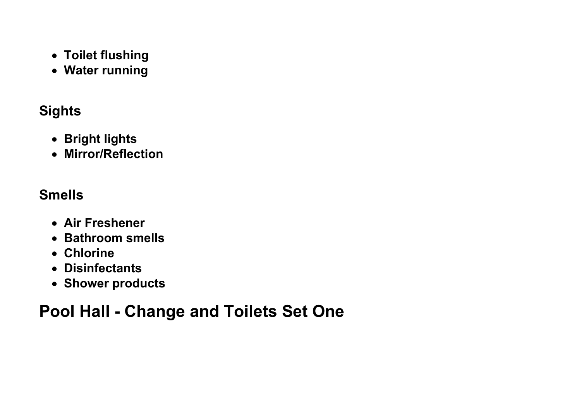- **Toilet flushing**
- **Water running**

### **Sights**

- **Bright lights**
- **Mirror/Reflection**

### **Smells**

- **Air Freshener**
- **Bathroom smells**
- **Chlorine**
- **Disinfectants**
- **Shower products**

# **Pool Hall - Change and Toilets Set One**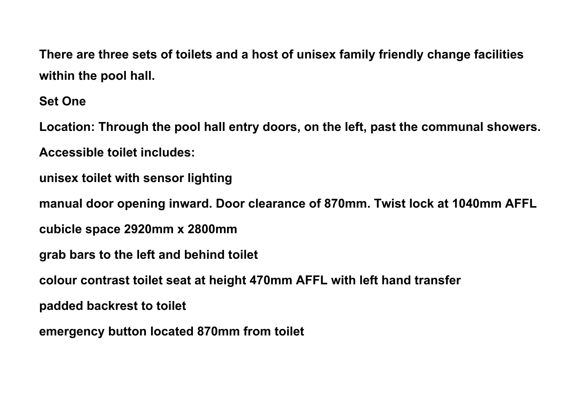**There are three sets of toilets and a host of unisex family friendly change facilities within the pool hall.**

**Set One**

**Location: Through the pool hall entry doors, on the left, past the communal showers. Accessible toilet includes: unisex toilet with sensor lighting manual door opening inward. Door clearance of 870mm. Twist lock at 1040mm AFFL cubicle space 2920mm x 2800mm grab bars to the left and behind toilet colour contrast toilet seat at height 470mm AFFL with left hand transfer padded backrest to toilet emergency button located 870mm from toilet**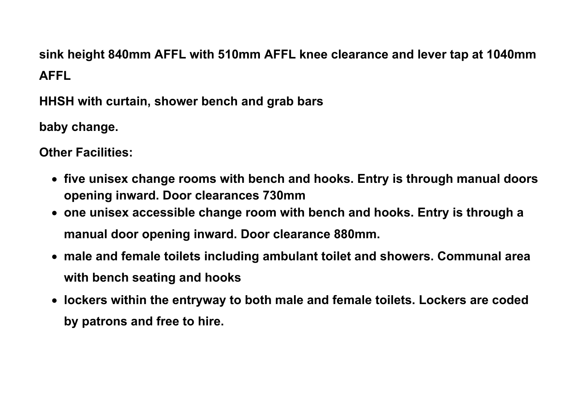## **sink height 840mm AFFL with 510mm AFFL knee clearance and lever tap at 1040mm AFFL**

**HHSH with curtain, shower bench and grab bars**

**baby change.**

**Other Facilities:**

- **five unisex change rooms with bench and hooks. Entry is through manual doors opening inward. Door clearances 730mm**
- **one unisex accessible change room with bench and hooks. Entry is through a manual door opening inward. Door clearance 880mm.**
- **male and female toilets including ambulant toilet and showers. Communal area with bench seating and hooks**
- **lockers within the entryway to both male and female toilets. Lockers are coded by patrons and free to hire.**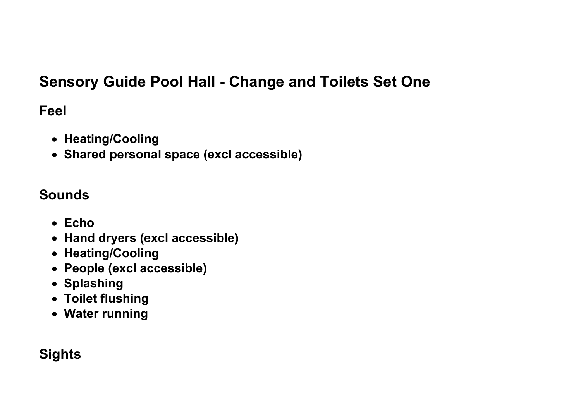### **Sensory Guide Pool Hall - Change and Toilets Set One**

#### **Feel**

- **Heating/Cooling**
- **Shared personal space (excl accessible)**

#### **Sounds**

- **Echo**
- **Hand dryers (excl accessible)**
- **Heating/Cooling**
- **People (excl accessible)**
- **Splashing**
- **Toilet flushing**
- **Water running**

### **Sights**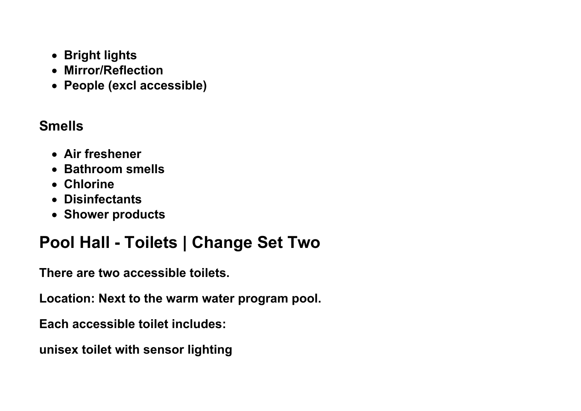- **Bright lights**
- **Mirror/Reflection**
- **People (excl accessible)**

#### **Smells**

- **Air freshener**
- **Bathroom smells**
- **Chlorine**
- **Disinfectants**
- **Shower products**

# **Pool Hall - Toilets | Change Set Two**

**There are two accessible toilets.** 

**Location: Next to the warm water program pool.**

**Each accessible toilet includes:** 

**unisex toilet with sensor lighting**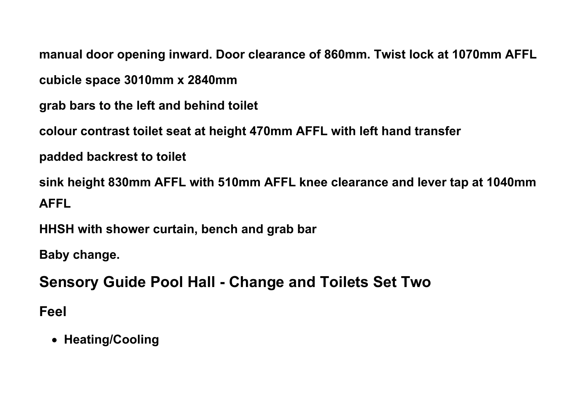**manual door opening inward. Door clearance of 860mm. Twist lock at 1070mm AFFL**

**cubicle space 3010mm x 2840mm** 

**grab bars to the left and behind toilet**

**colour contrast toilet seat at height 470mm AFFL with left hand transfer**

**padded backrest to toilet**

**sink height 830mm AFFL with 510mm AFFL knee clearance and lever tap at 1040mm AFFL**

**HHSH with shower curtain, bench and grab bar**

**Baby change.**

**Sensory Guide Pool Hall - Change and Toilets Set Two**

**Feel**

• **Heating/Cooling**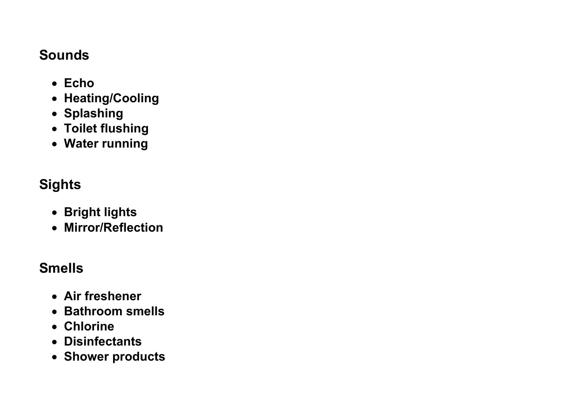#### **Sounds**

- **Echo**
- **Heating/Cooling**
- **Splashing**
- **Toilet flushing**
- **Water running**

### **Sights**

- **Bright lights**
- **Mirror/Reflection**

#### **Smells**

- **Air freshener**
- **Bathroom smells**
- **Chlorine**
- **Disinfectants**
- **Shower products**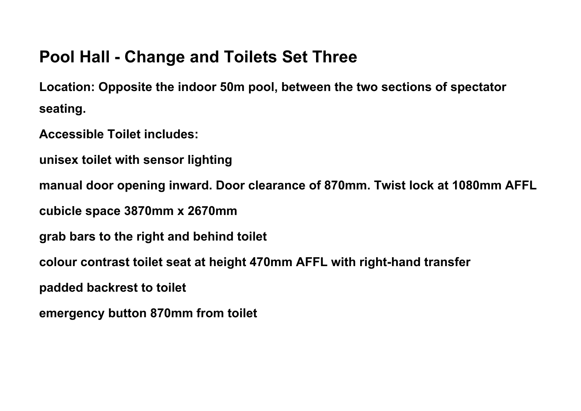### **Pool Hall - Change and Toilets Set Three**

**Location: Opposite the indoor 50m pool, between the two sections of spectator seating.**

**Accessible Toilet includes:** 

**unisex toilet with sensor lighting**

**manual door opening inward. Door clearance of 870mm. Twist lock at 1080mm AFFL**

**cubicle space 3870mm x 2670mm** 

**grab bars to the right and behind toilet**

**colour contrast toilet seat at height 470mm AFFL with right-hand transfer**

**padded backrest to toilet**

**emergency button 870mm from toilet**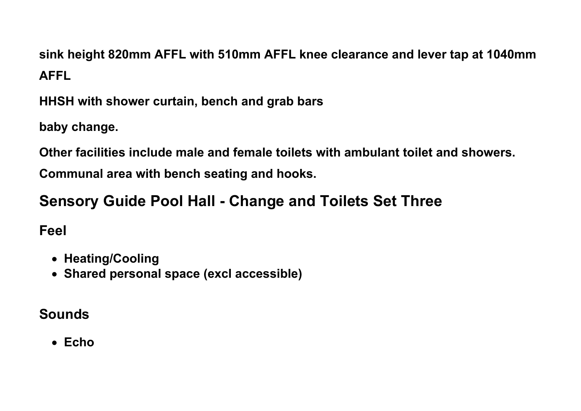**sink height 820mm AFFL with 510mm AFFL knee clearance and lever tap at 1040mm AFFL**

**HHSH with shower curtain, bench and grab bars**

**baby change.**

**Other facilities include male and female toilets with ambulant toilet and showers. Communal area with bench seating and hooks.**

# **Sensory Guide Pool Hall - Change and Toilets Set Three**

**Feel**

- **Heating/Cooling**
- **Shared personal space (excl accessible)**

#### **Sounds**

• **Echo**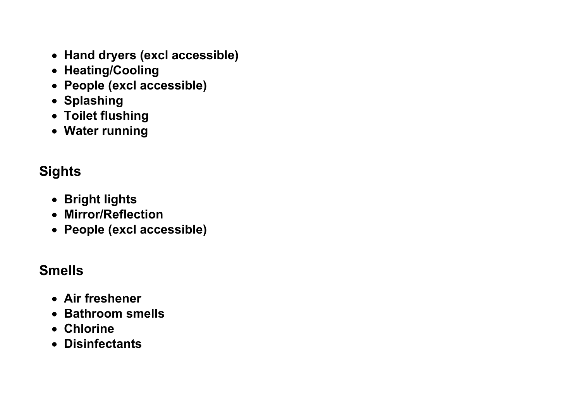- **Hand dryers (excl accessible)**
- **Heating/Cooling**
- **People (excl accessible)**
- **Splashing**
- **Toilet flushing**
- **Water running**

# **Sights**

- **Bright lights**
- **Mirror/Reflection**
- **People (excl accessible)**

### **Smells**

- **Air freshener**
- **Bathroom smells**
- **Chlorine**
- **Disinfectants**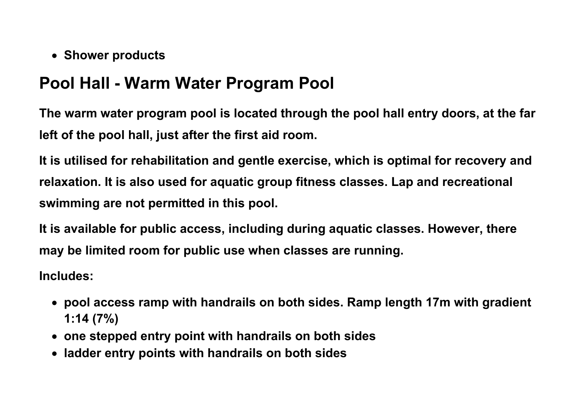• **Shower products**

## **Pool Hall - Warm Water Program Pool**

**The warm water program pool is located through the pool hall entry doors, at the far left of the pool hall, just after the first aid room.** 

**It is utilised for rehabilitation and gentle exercise, which is optimal for recovery and relaxation. It is also used for aquatic group fitness classes. Lap and recreational swimming are not permitted in this pool.**

**It is available for public access, including during aquatic classes. However, there may be limited room for public use when classes are running.** 

**Includes:**

- **pool access ramp with handrails on both sides. Ramp length 17m with gradient 1:14 (7%)**
- **one stepped entry point with handrails on both sides**
- **ladder entry points with handrails on both sides**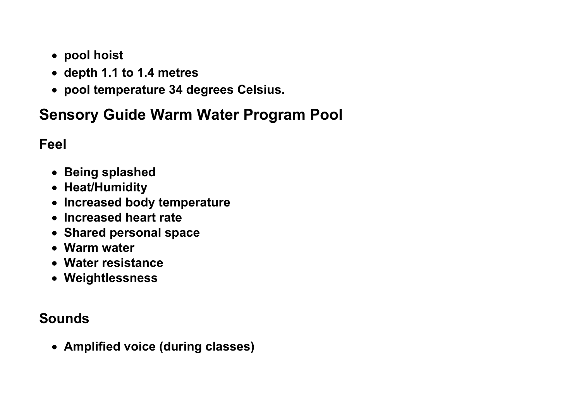- **pool hoist**
- **depth 1.1 to 1.4 metres**
- **pool temperature 34 degrees Celsius.**

## **Sensory Guide Warm Water Program Pool**

#### **Feel**

- **Being splashed**
- **Heat/Humidity**
- **Increased body temperature**
- **Increased heart rate**
- **Shared personal space**
- **Warm water**
- **Water resistance**
- **Weightlessness**

#### **Sounds**

• **Amplified voice (during classes)**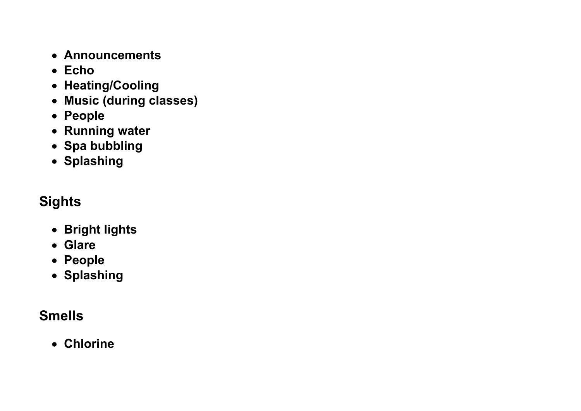- **Announcements**
- **Echo**
- **Heating/Cooling**
- **Music (during classes)**
- **People**
- **Running water**
- **Spa bubbling**
- **Splashing**

### **Sights**

- **Bright lights**
- **Glare**
- **People**
- **Splashing**

### **Smells**

• **Chlorine**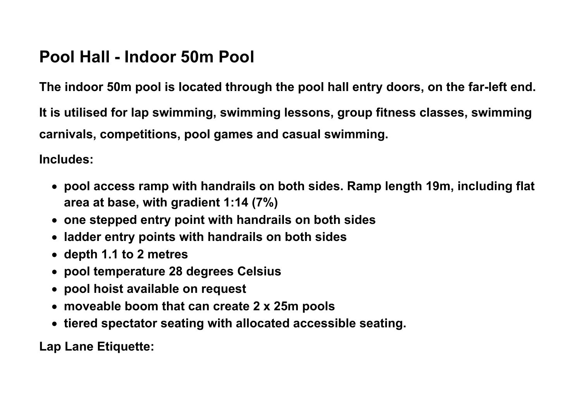### **Pool Hall - Indoor 50m Pool**

**The indoor 50m pool is located through the pool hall entry doors, on the far-left end.**

**It is utilised for lap swimming, swimming lessons, group fitness classes, swimming carnivals, competitions, pool games and casual swimming.**

**Includes:**

- **pool access ramp with handrails on both sides. Ramp length 19m, including flat area at base, with gradient 1:14 (7%)**
- **one stepped entry point with handrails on both sides**
- **ladder entry points with handrails on both sides**
- **depth 1.1 to 2 metres**
- **pool temperature 28 degrees Celsius**
- **pool hoist available on request**
- **moveable boom that can create 2 x 25m pools**
- **tiered spectator seating with allocated accessible seating.**

**Lap Lane Etiquette:**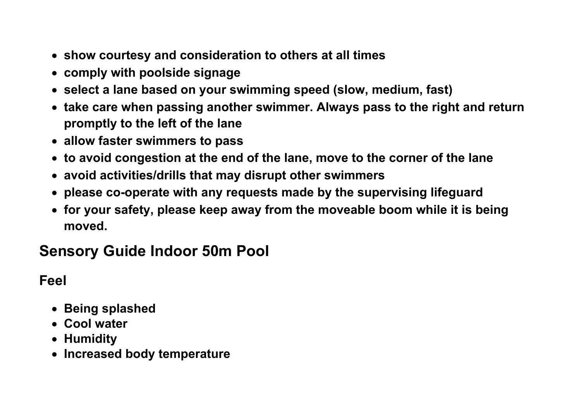- **show courtesy and consideration to others at all times**
- **comply with poolside signage**
- **select a lane based on your swimming speed (slow, medium, fast)**
- **take care when passing another swimmer. Always pass to the right and return promptly to the left of the lane**
- **allow faster swimmers to pass**
- **to avoid congestion at the end of the lane, move to the corner of the lane**
- **avoid activities/drills that may disrupt other swimmers**
- **please co-operate with any requests made by the supervising lifeguard**
- **for your safety, please keep away from the moveable boom while it is being moved.**

## **Sensory Guide Indoor 50m Pool**

#### **Feel**

- **Being splashed**
- **Cool water**
- **Humidity**
- **Increased body temperature**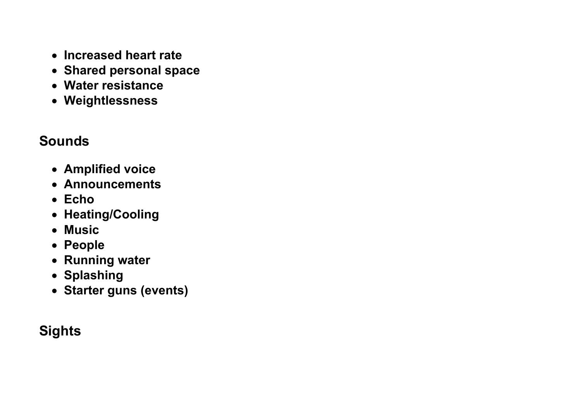- **Increased heart rate**
- **Shared personal space**
- **Water resistance**
- **Weightlessness**

#### **Sounds**

- **Amplified voice**
- **Announcements**
- **Echo**
- **Heating/Cooling**
- **Music**
- **People**
- **Running water**
- **Splashing**
- **Starter guns (events)**

## **Sights**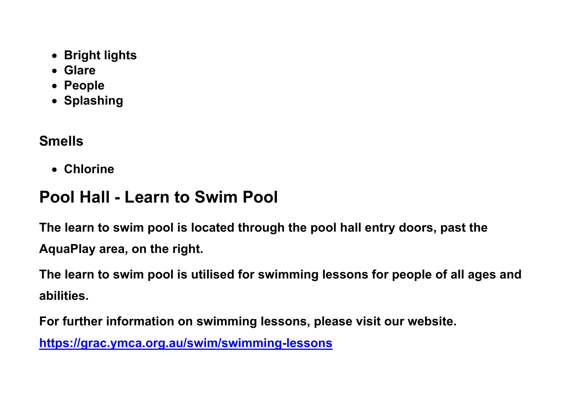- **Bright lights**
- **Glare**
- **People**
- **Splashing**

### **Smells**

• **Chlorine**

# **Pool Hall - Learn to Swim Pool**

**The learn to swim pool is located through the pool hall entry doors, past the AquaPlay area, on the right.**

**The learn to swim pool is utilised for swimming lessons for people of all ages and abilities.** 

**For further information on swimming lessons, please visit our website.**

**<https://grac.ymca.org.au/swim/swimming-lessons>**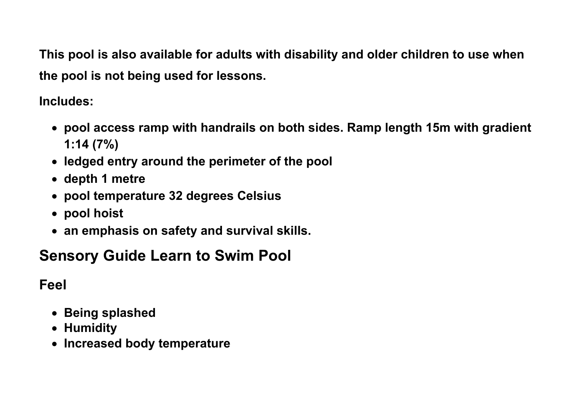**This pool is also available for adults with disability and older children to use when the pool is not being used for lessons.** 

**Includes:**

- **pool access ramp with handrails on both sides. Ramp length 15m with gradient 1:14 (7%)**
- **ledged entry around the perimeter of the pool**
- **depth 1 metre**
- **pool temperature 32 degrees Celsius**
- **pool hoist**
- **an emphasis on safety and survival skills.**

# **Sensory Guide Learn to Swim Pool**

**Feel**

- **Being splashed**
- **Humidity**
- **Increased body temperature**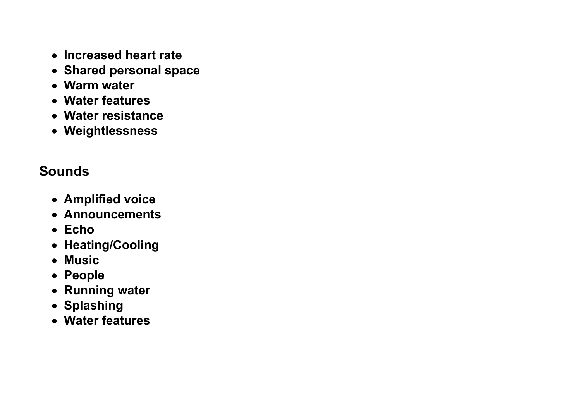- **Increased heart rate**
- **Shared personal space**
- **Warm water**
- **Water features**
- **Water resistance**
- **Weightlessness**

### **Sounds**

- **Amplified voice**
- **Announcements**
- **Echo**
- **Heating/Cooling**
- **Music**
- **People**
- **Running water**
- **Splashing**
- **Water features**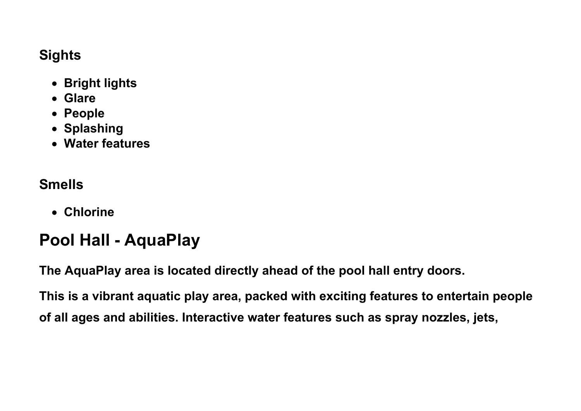#### **Sights**

- **Bright lights**
- **Glare**
- **People**
- **Splashing**
- **Water features**

### **Smells**

• **Chlorine**

# **Pool Hall - AquaPlay**

**The AquaPlay area is located directly ahead of the pool hall entry doors.**

**This is a vibrant aquatic play area, packed with exciting features to entertain people of all ages and abilities. Interactive water features such as spray nozzles, jets,**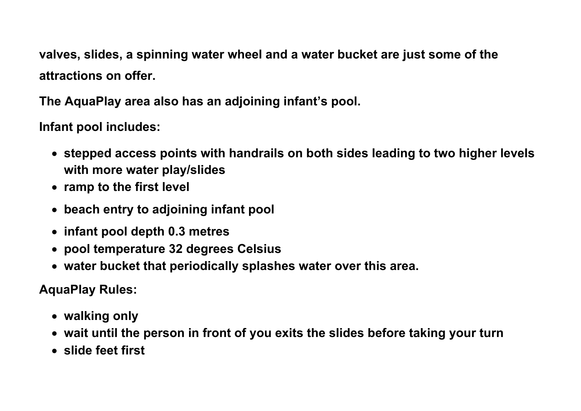**valves, slides, a spinning water wheel and a water bucket are just some of the attractions on offer.**

**The AquaPlay area also has an adjoining infant's pool.** 

**Infant pool includes:**

- **stepped access points with handrails on both sides leading to two higher levels with more water play/slides**
- **ramp to the first level**
- **beach entry to adjoining infant pool**
- **infant pool depth 0.3 metres**
- **pool temperature 32 degrees Celsius**
- **water bucket that periodically splashes water over this area.**

**AquaPlay Rules:**

- **walking only**
- **wait until the person in front of you exits the slides before taking your turn**
- **slide feet first**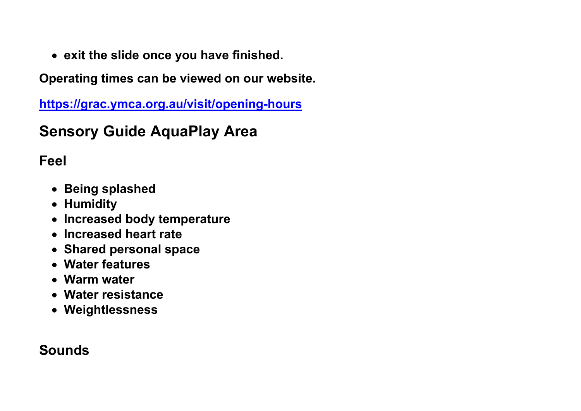• **exit the slide once you have finished.**

**Operating times can be viewed on our website.**

**<https://grac.ymca.org.au/visit/opening-hours>**

## **Sensory Guide AquaPlay Area**

**Feel**

- **Being splashed**
- **Humidity**
- **Increased body temperature**
- **Increased heart rate**
- **Shared personal space**
- **Water features**
- **Warm water**
- **Water resistance**
- **Weightlessness**

#### **Sounds**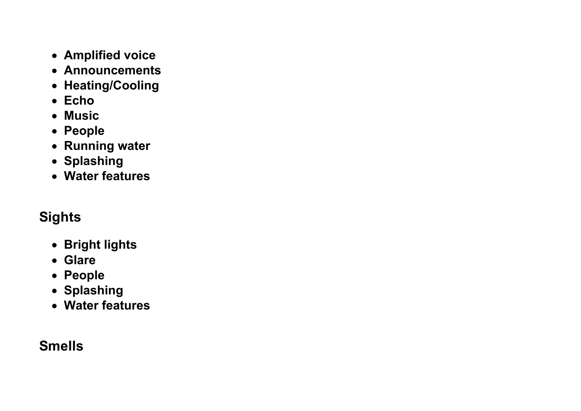- **Amplified voice**
- **Announcements**
- **Heating/Cooling**
- **Echo**
- **Music**
- **People**
- **Running water**
- **Splashing**
- **Water features**

#### **Sights**

- **Bright lights**
- **Glare**
- **People**
- **Splashing**
- **Water features**

#### **Smells**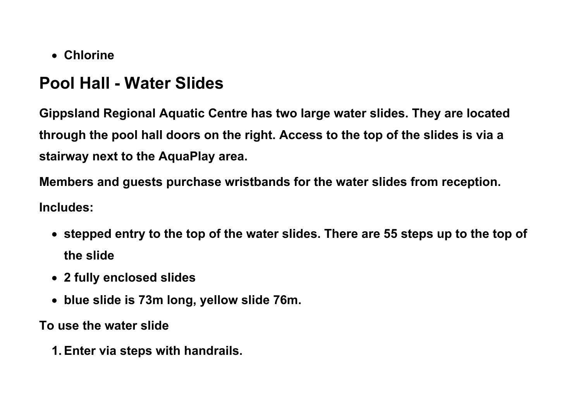• **Chlorine**

## **Pool Hall - Water Slides**

**Gippsland Regional Aquatic Centre has two large water slides. They are located through the pool hall doors on the right. Access to the top of the slides is via a stairway next to the AquaPlay area.**

**Members and guests purchase wristbands for the water slides from reception. Includes:**

- **stepped entry to the top of the water slides. There are 55 steps up to the top of the slide**
- **2 fully enclosed slides**
- **blue slide is 73m long, yellow slide 76m.**

**To use the water slide**

**1.Enter via steps with handrails.**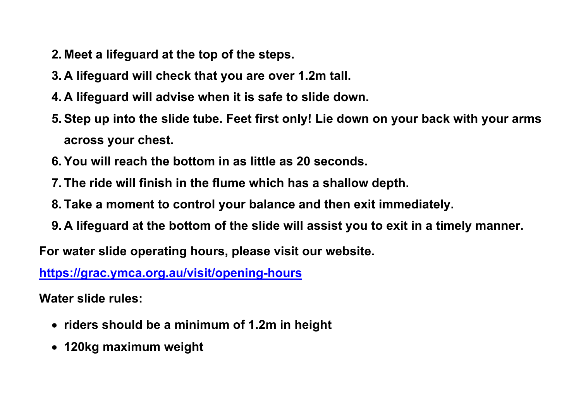- **2. Meet a lifeguard at the top of the steps.**
- **3. A lifeguard will check that you are over 1.2m tall.**
- **4. A lifeguard will advise when it is safe to slide down.**
- **5.Step up into the slide tube. Feet first only! Lie down on your back with your arms across your chest.**
- **6.You will reach the bottom in as little as 20 seconds.**
- **7. The ride will finish in the flume which has a shallow depth.**
- **8. Take a moment to control your balance and then exit immediately.**
- **9. A lifeguard at the bottom of the slide will assist you to exit in a timely manner.**

**For water slide operating hours, please visit our website.** 

**<https://grac.ymca.org.au/visit/opening-hours>**

**Water slide rules:**

- **riders should be a minimum of 1.2m in height**
- **120kg maximum weight**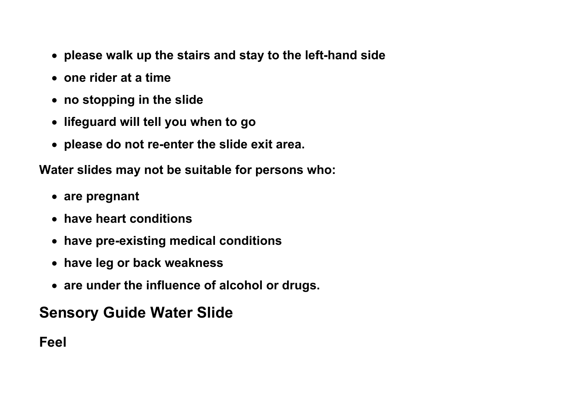- **please walk up the stairs and stay to the left-hand side**
- **one rider at a time**
- **no stopping in the slide**
- **lifeguard will tell you when to go**
- **please do not re-enter the slide exit area.**

**Water slides may not be suitable for persons who:**

- **are pregnant**
- **have heart conditions**
- **have pre-existing medical conditions**
- **have leg or back weakness**
- **are under the influence of alcohol or drugs.**

### **Sensory Guide Water Slide**

**Feel**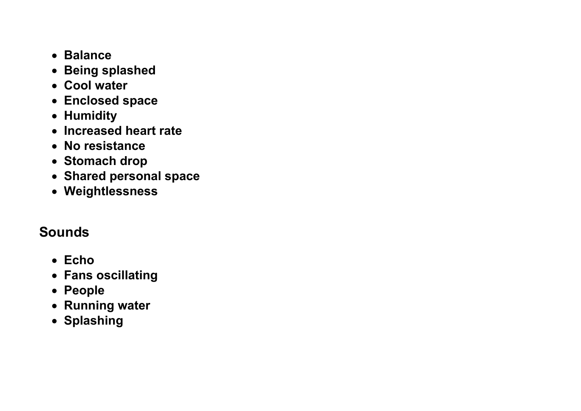- **Balance**
- **Being splashed**
- **Cool water**
- **Enclosed space**
- **Humidity**
- **Increased heart rate**
- **No resistance**
- **Stomach drop**
- **Shared personal space**
- **Weightlessness**

#### **Sounds**

- **Echo**
- **Fans oscillating**
- **People**
- **Running water**
- **Splashing**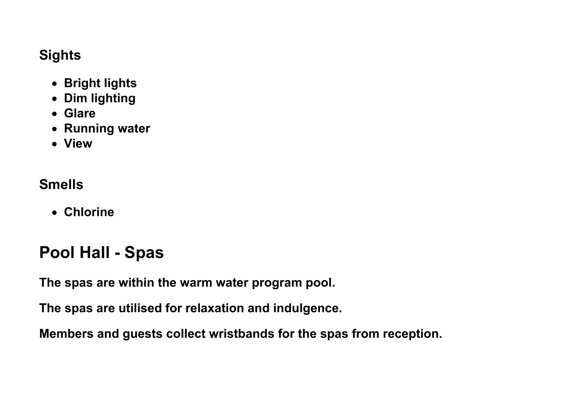#### **Sights**

- **Bright lights**
- **Dim lighting**
- **Glare**
- **Running water**
- **View**

#### **Smells**

• **Chlorine**

# **Pool Hall - Spas**

**The spas are within the warm water program pool.**

**The spas are utilised for relaxation and indulgence.** 

**Members and guests collect wristbands for the spas from reception.**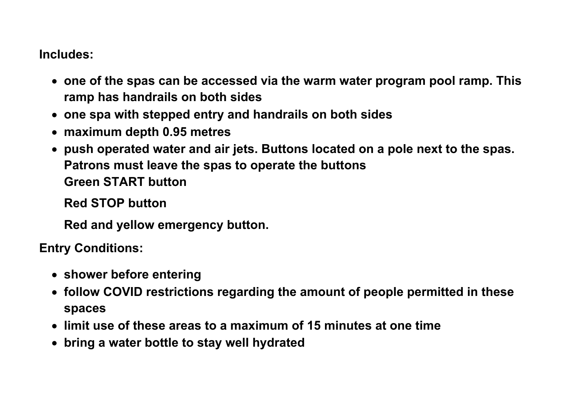**Includes:**

- **one of the spas can be accessed via the warm water program pool ramp. This ramp has handrails on both sides**
- **one spa with stepped entry and handrails on both sides**
- **maximum depth 0.95 metres**
- **push operated water and air jets. Buttons located on a pole next to the spas. Patrons must leave the spas to operate the buttons Green START button**

**Red STOP button** 

**Red and yellow emergency button.**

**Entry Conditions:**

- **shower before entering**
- **follow COVID restrictions regarding the amount of people permitted in these spaces**
- **limit use of these areas to a maximum of 15 minutes at one time**
- **bring a water bottle to stay well hydrated**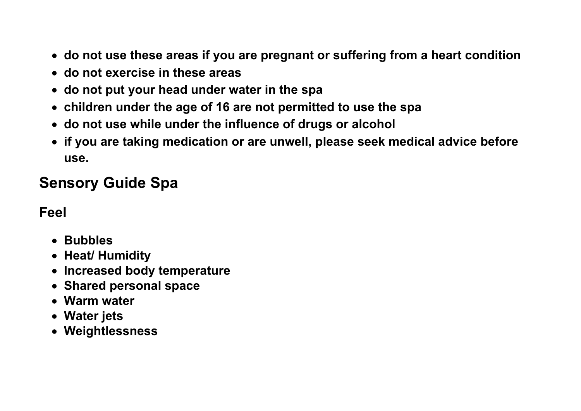- **do not use these areas if you are pregnant or suffering from a heart condition**
- **do not exercise in these areas**
- **do not put your head under water in the spa**
- **children under the age of 16 are not permitted to use the spa**
- **do not use while under the influence of drugs or alcohol**
- **if you are taking medication or are unwell, please seek medical advice before use.**

# **Sensory Guide Spa**

#### **Feel**

- **Bubbles**
- **Heat/ Humidity**
- **Increased body temperature**
- **Shared personal space**
- **Warm water**
- **Water jets**
- **Weightlessness**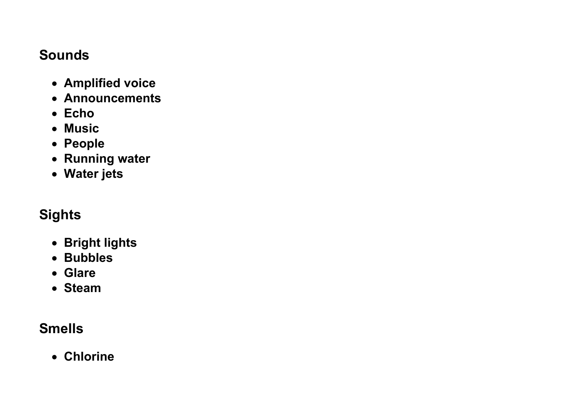#### **Sounds**

- **Amplified voice**
- **Announcements**
- **Echo**
- **Music**
- **People**
- **Running water**
- **Water jets**

### **Sights**

- **Bright lights**
- **Bubbles**
- **Glare**
- **Steam**

### **Smells**

• **Chlorine**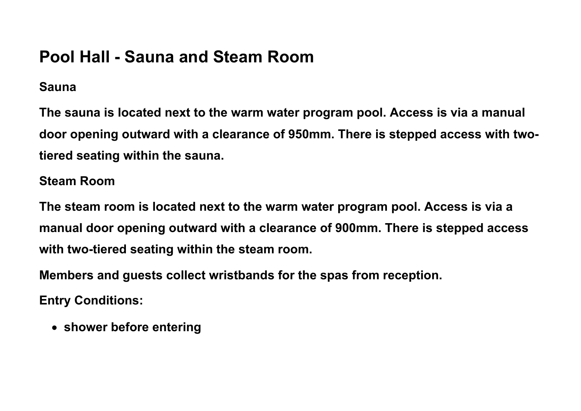# **Pool Hall - Sauna and Steam Room**

#### **Sauna**

**The sauna is located next to the warm water program pool. Access is via a manual door opening outward with a clearance of 950mm. There is stepped access with twotiered seating within the sauna.**

#### **Steam Room**

**The steam room is located next to the warm water program pool. Access is via a manual door opening outward with a clearance of 900mm. There is stepped access with two-tiered seating within the steam room.**

**Members and guests collect wristbands for the spas from reception.**

**Entry Conditions:**

• **shower before entering**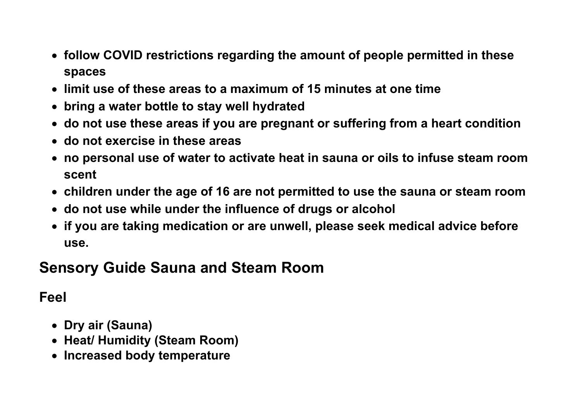- **follow COVID restrictions regarding the amount of people permitted in these spaces**
- **limit use of these areas to a maximum of 15 minutes at one time**
- **bring a water bottle to stay well hydrated**
- **do not use these areas if you are pregnant or suffering from a heart condition**
- **do not exercise in these areas**
- **no personal use of water to activate heat in sauna or oils to infuse steam room scent**
- **children under the age of 16 are not permitted to use the sauna or steam room**
- **do not use while under the influence of drugs or alcohol**
- **if you are taking medication or are unwell, please seek medical advice before use.**

### **Sensory Guide Sauna and Steam Room**

#### **Feel**

- **Dry air (Sauna)**
- **Heat/ Humidity (Steam Room)**
- **Increased body temperature**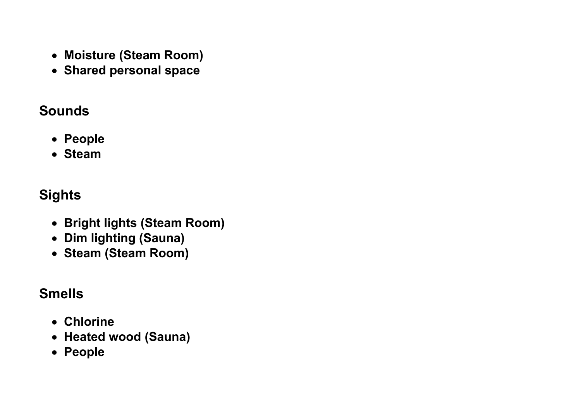- **Moisture (Steam Room)**
- **Shared personal space**

#### **Sounds**

- **People**
- **Steam**

### **Sights**

- **Bright lights (Steam Room)**
- **Dim lighting (Sauna)**
- **Steam (Steam Room)**

#### **Smells**

- **Chlorine**
- **Heated wood (Sauna)**
- **People**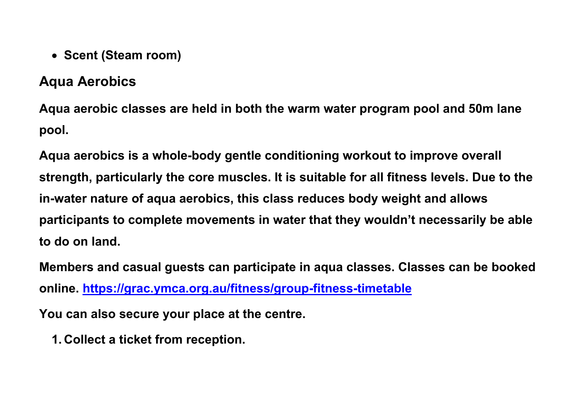• **Scent (Steam room)**

#### **Aqua Aerobics**

**Aqua aerobic classes are held in both the warm water program pool and 50m lane pool.** 

**Aqua aerobics is a whole-body gentle conditioning workout to improve overall strength, particularly the core muscles. It is suitable for all fitness levels. Due to the in-water nature of aqua aerobics, this class reduces body weight and allows participants to complete movements in water that they wouldn't necessarily be able to do on land.**

**Members and casual guests can participate in aqua classes. Classes can be booked online.<https://grac.ymca.org.au/fitness/group-fitness-timetable>**

**You can also secure your place at the centre.**

**1. Collect a ticket from reception.**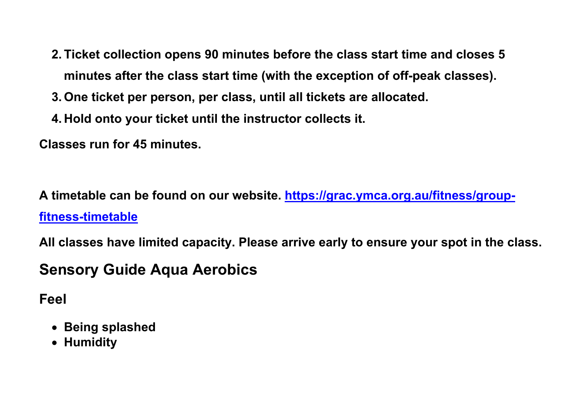- **2. Ticket collection opens 90 minutes before the class start time and closes 5 minutes after the class start time (with the exception of off-peak classes).**
- **3. One ticket per person, per class, until all tickets are allocated.**
- **4. Hold onto your ticket until the instructor collects it.**

**Classes run for 45 minutes.** 

**A timetable can be found on our website. [https://grac.ymca.org.au/fitness/group](https://grac.ymca.org.au/fitness/group-fitness-timetable)[fitness-timetable](https://grac.ymca.org.au/fitness/group-fitness-timetable)**

**All classes have limited capacity. Please arrive early to ensure your spot in the class.**

## **Sensory Guide Aqua Aerobics**

**Feel**

- **Being splashed**
- **Humidity**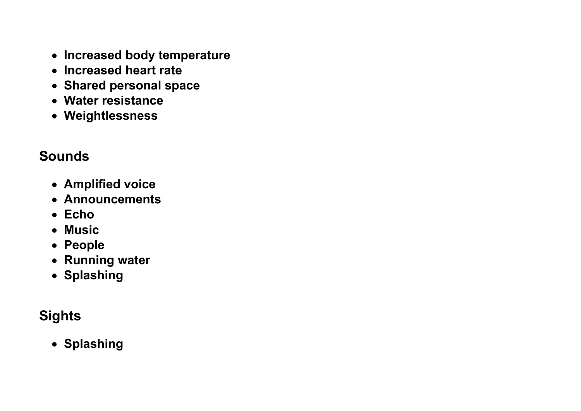- **Increased body temperature**
- **Increased heart rate**
- **Shared personal space**
- **Water resistance**
- **Weightlessness**

### **Sounds**

- **Amplified voice**
- **Announcements**
- **Echo**
- **Music**
- **People**
- **Running water**
- **Splashing**

## **Sights**

• **Splashing**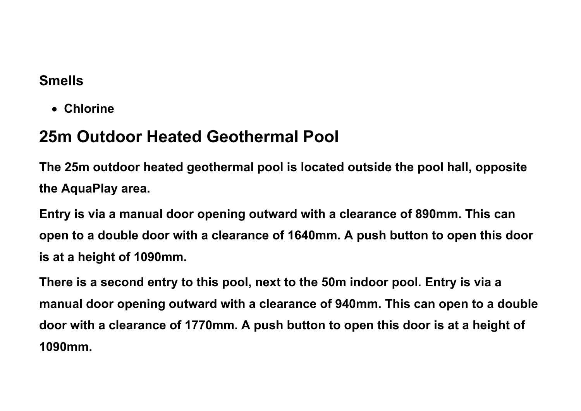#### **Smells**

• **Chlorine**

# **25m Outdoor Heated Geothermal Pool**

**The 25m outdoor heated geothermal pool is located outside the pool hall, opposite the AquaPlay area.**

**Entry is via a manual door opening outward with a clearance of 890mm. This can open to a double door with a clearance of 1640mm. A push button to open this door is at a height of 1090mm.**

**There is a second entry to this pool, next to the 50m indoor pool. Entry is via a manual door opening outward with a clearance of 940mm. This can open to a double door with a clearance of 1770mm. A push button to open this door is at a height of 1090mm.**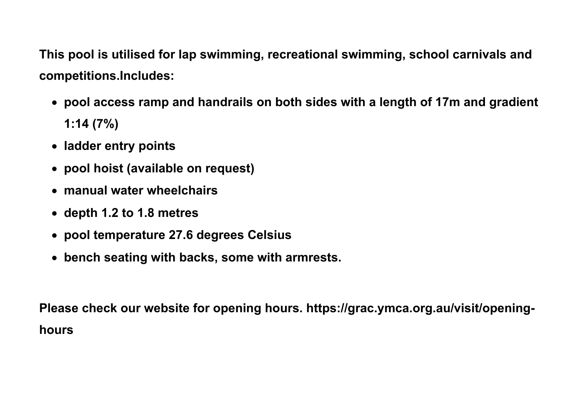**This pool is utilised for lap swimming, recreational swimming, school carnivals and competitions.Includes:**

- **pool access ramp and handrails on both sides with a length of 17m and gradient 1:14 (7%)**
- **ladder entry points**
- **pool hoist (available on request)**
- **manual water wheelchairs**
- **depth 1.2 to 1.8 metres**
- **pool temperature 27.6 degrees Celsius**
- **bench seating with backs, some with armrests.**

**Please check our website for opening hours. https://grac.ymca.org.au/visit/openinghours**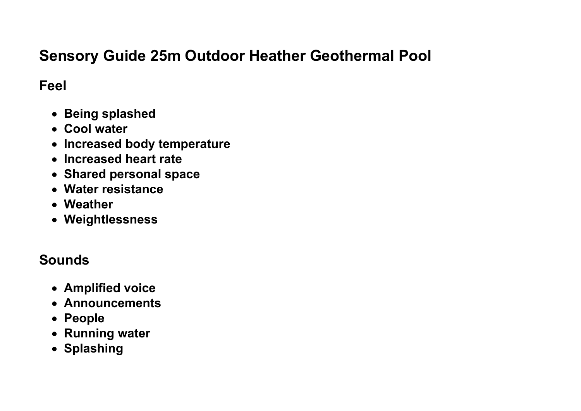### **Sensory Guide 25m Outdoor Heather Geothermal Pool**

#### **Feel**

- **Being splashed**
- **Cool water**
- **Increased body temperature**
- **Increased heart rate**
- **Shared personal space**
- **Water resistance**
- **Weather**
- **Weightlessness**

#### **Sounds**

- **Amplified voice**
- **Announcements**
- **People**
- **Running water**
- **Splashing**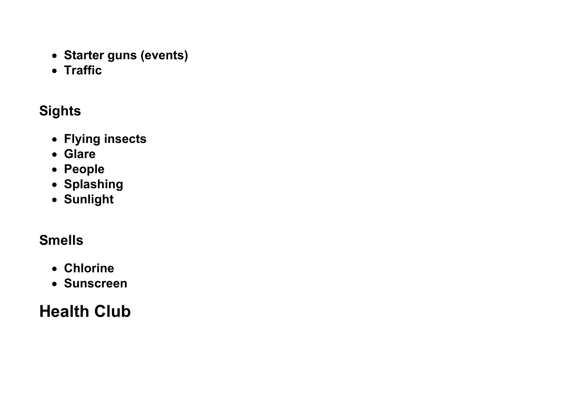- **Starter guns (events)**
- **Traffic**

# **Sights**

- **Flying insects**
- **Glare**
- **People**
- **Splashing**
- **Sunlight**

# **Smells**

- **Chlorine**
- **Sunscreen**

# **Health Club**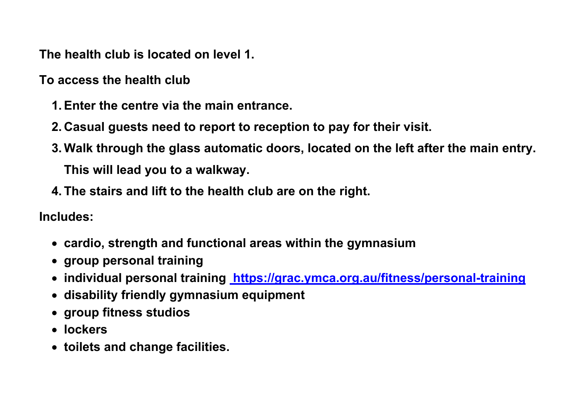**The health club is located on level 1.**

**To access the health club**

- **1.Enter the centre via the main entrance.**
- **2. Casual guests need to report to reception to pay for their visit.**
- **3. Walk through the glass automatic doors, located on the left after the main entry. This will lead you to a walkway.**
- **4. The stairs and lift to the health club are on the right.**

**Includes:**

- **cardio, strength and functional areas within the gymnasium**
- **group personal training**
- **individual personal training <https://grac.ymca.org.au/fitness/personal-training>**
- **disability friendly gymnasium equipment**
- **group fitness studios**
- **lockers**
- **toilets and change facilities.**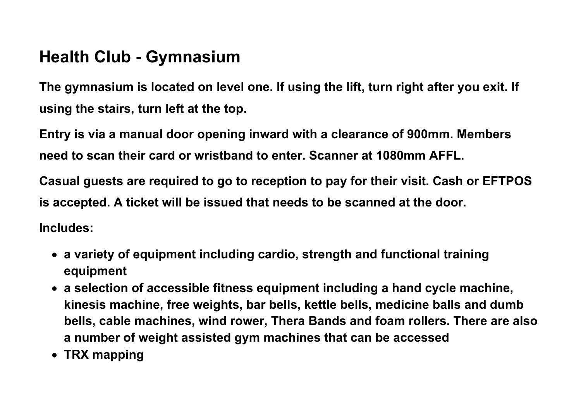# **Health Club - Gymnasium**

**The gymnasium is located on level one. If using the lift, turn right after you exit. If using the stairs, turn left at the top.**

**Entry is via a manual door opening inward with a clearance of 900mm. Members need to scan their card or wristband to enter. Scanner at 1080mm AFFL.**

**Casual guests are required to go to reception to pay for their visit. Cash or EFTPOS is accepted. A ticket will be issued that needs to be scanned at the door.** 

**Includes:**

- **a variety of equipment including cardio, strength and functional training equipment**
- **a selection of accessible fitness equipment including a hand cycle machine, kinesis machine, free weights, bar bells, kettle bells, medicine balls and dumb bells, cable machines, wind rower, Thera Bands and foam rollers. There are also a number of weight assisted gym machines that can be accessed**
- **TRX mapping**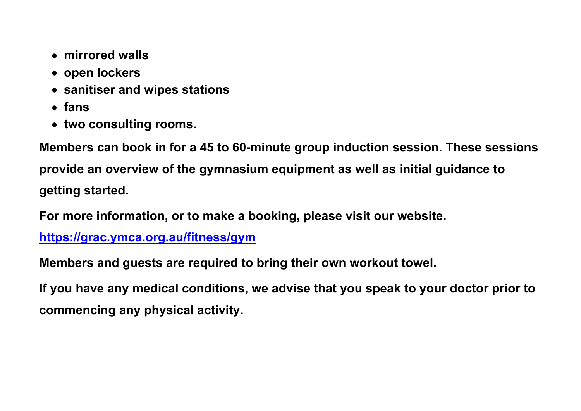- **mirrored walls**
- **open lockers**
- **sanitiser and wipes stations**
- **fans**
- **two consulting rooms.**

**Members can book in for a 45 to 60-minute group induction session. These sessions provide an overview of the gymnasium equipment as well as initial guidance to getting started.** 

**For more information, or to make a booking, please visit our website.** 

**<https://grac.ymca.org.au/fitness/gym>**

**Members and guests are required to bring their own workout towel.**

**If you have any medical conditions, we advise that you speak to your doctor prior to commencing any physical activity.**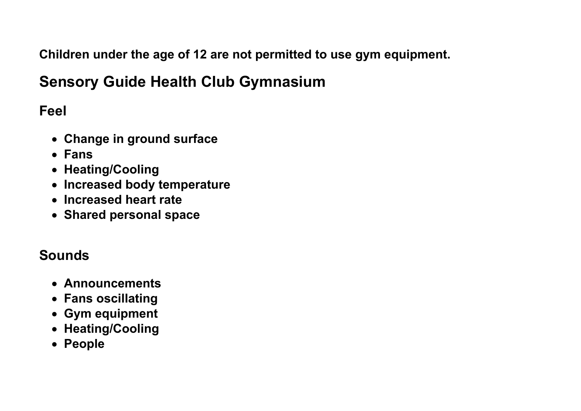**Children under the age of 12 are not permitted to use gym equipment.** 

## **Sensory Guide Health Club Gymnasium**

**Feel**

- **Change in ground surface**
- **Fans**
- **Heating/Cooling**
- **Increased body temperature**
- **Increased heart rate**
- **Shared personal space**

#### **Sounds**

- **Announcements**
- **Fans oscillating**
- **Gym equipment**
- **Heating/Cooling**
- **People**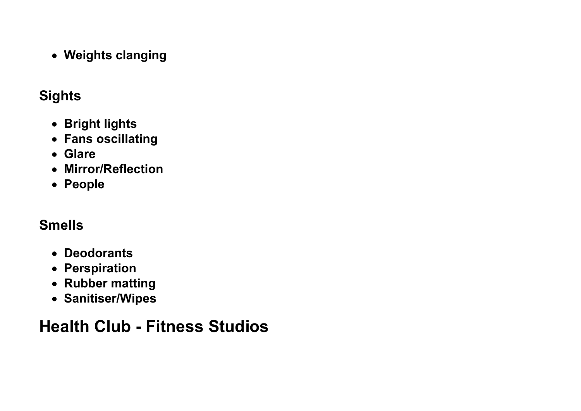• **Weights clanging**

#### **Sights**

- **Bright lights**
- **Fans oscillating**
- **Glare**
- **Mirror/Reflection**
- **People**

## **Smells**

- **Deodorants**
- **Perspiration**
- **Rubber matting**
- **Sanitiser/Wipes**

# **Health Club - Fitness Studios**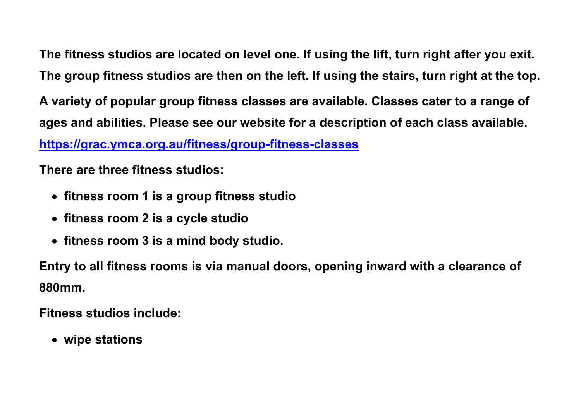**The fitness studios are located on level one. If using the lift, turn right after you exit. The group fitness studios are then on the left. If using the stairs, turn right at the top. A variety of popular group fitness classes are available. Classes cater to a range of ages and abilities. Please see our website for a description of each class available. <https://grac.ymca.org.au/fitness/group-fitness-classes>**

**There are three fitness studios:**

- **fitness room 1 is a group fitness studio**
- **fitness room 2 is a cycle studio**
- **fitness room 3 is a mind body studio.**

**Entry to all fitness rooms is via manual doors, opening inward with a clearance of 880mm.**

**Fitness studios include:**

• **wipe stations**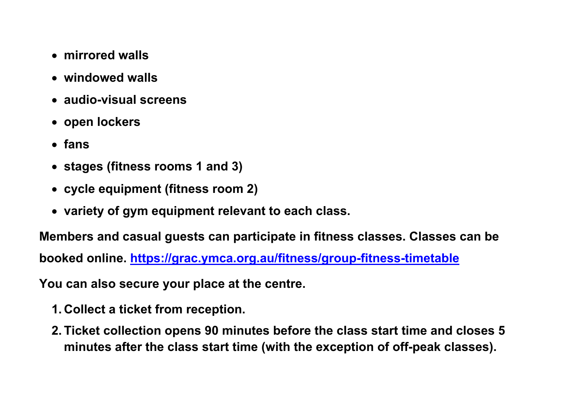- **mirrored walls**
- **windowed walls**
- **audio-visual screens**
- **open lockers**
- **fans**
- **stages (fitness rooms 1 and 3)**
- **cycle equipment (fitness room 2)**
- **variety of gym equipment relevant to each class.**

**Members and casual guests can participate in fitness classes. Classes can be booked online.<https://grac.ymca.org.au/fitness/group-fitness-timetable>**

**You can also secure your place at the centre.**

- **1. Collect a ticket from reception.**
- **2. Ticket collection opens 90 minutes before the class start time and closes 5 minutes after the class start time (with the exception of off-peak classes).**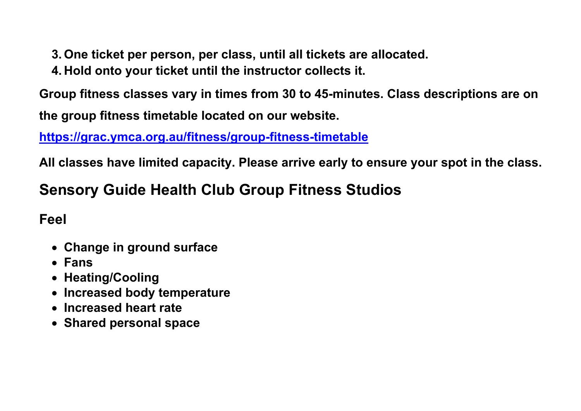- **3. One ticket per person, per class, until all tickets are allocated.**
- **4. Hold onto your ticket until the instructor collects it.**

**Group fitness classes vary in times from 30 to 45-minutes. Class descriptions are on** 

**the group fitness timetable located on our website.** 

**<https://grac.ymca.org.au/fitness/group-fitness-timetable>**

**All classes have limited capacity. Please arrive early to ensure your spot in the class.**

# **Sensory Guide Health Club Group Fitness Studios**

#### **Feel**

- **Change in ground surface**
- **Fans**
- **Heating/Cooling**
- **Increased body temperature**
- **Increased heart rate**
- **Shared personal space**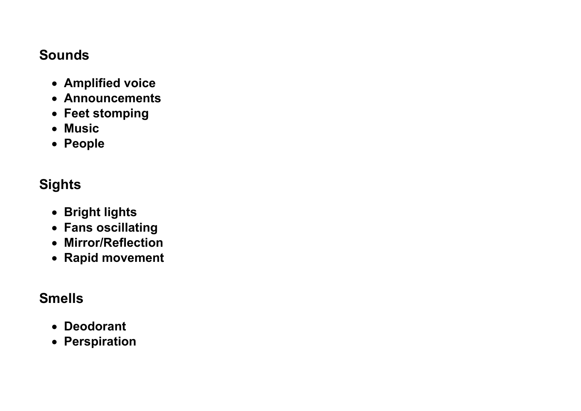#### **Sounds**

- **Amplified voice**
- **Announcements**
- **Feet stomping**
- **Music**
- **People**

### **Sights**

- **Bright lights**
- **Fans oscillating**
- **Mirror/Reflection**
- **Rapid movement**

### **Smells**

- **Deodorant**
- **Perspiration**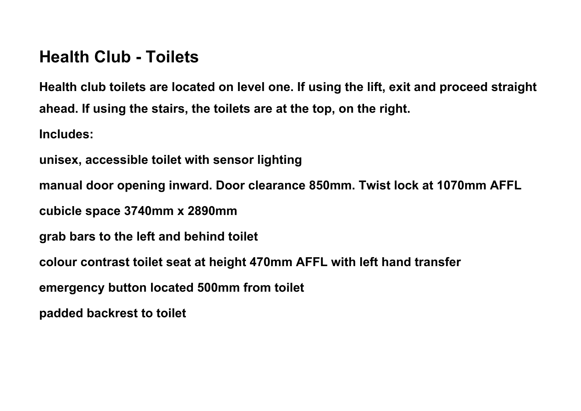## **Health Club - Toilets**

**Health club toilets are located on level one. If using the lift, exit and proceed straight ahead. If using the stairs, the toilets are at the top, on the right. Includes:** 

**unisex, accessible toilet with sensor lighting**

**manual door opening inward. Door clearance 850mm. Twist lock at 1070mm AFFL**

**cubicle space 3740mm x 2890mm** 

**grab bars to the left and behind toilet**

**colour contrast toilet seat at height 470mm AFFL with left hand transfer**

**emergency button located 500mm from toilet**

**padded backrest to toilet**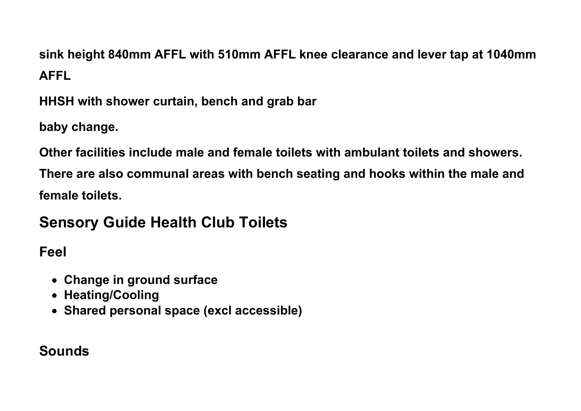**sink height 840mm AFFL with 510mm AFFL knee clearance and lever tap at 1040mm AFFL**

**HHSH with shower curtain, bench and grab bar**

**baby change.**

**Other facilities include male and female toilets with ambulant toilets and showers. There are also communal areas with bench seating and hooks within the male and female toilets.**

# **Sensory Guide Health Club Toilets**

**Feel**

- **Change in ground surface**
- **Heating/Cooling**
- **Shared personal space (excl accessible)**

### **Sounds**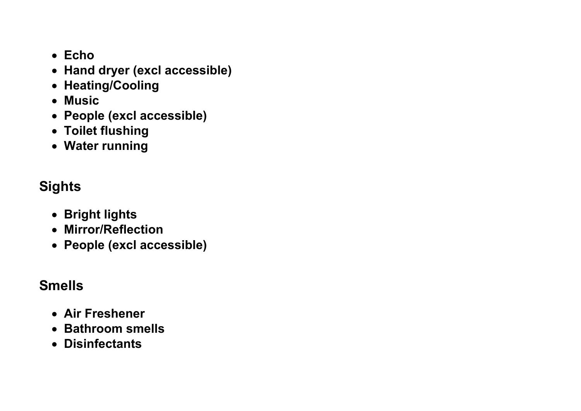- **Echo**
- **Hand dryer (excl accessible)**
- **Heating/Cooling**
- **Music**
- **People (excl accessible)**
- **Toilet flushing**
- **Water running**

## **Sights**

- **Bright lights**
- **Mirror/Reflection**
- **People (excl accessible)**

### **Smells**

- **Air Freshener**
- **Bathroom smells**
- **Disinfectants**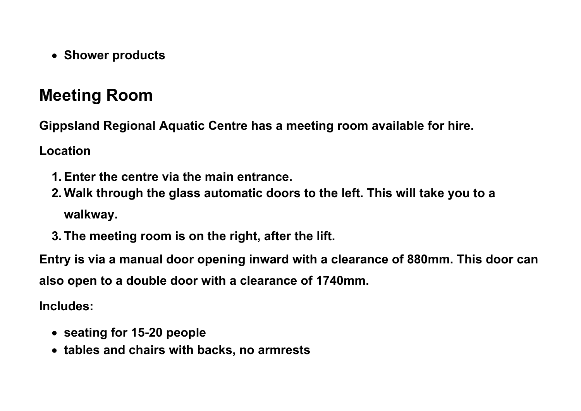• **Shower products**

# **Meeting Room**

**Gippsland Regional Aquatic Centre has a meeting room available for hire.**

**Location**

- **1.Enter the centre via the main entrance.**
- **2. Walk through the glass automatic doors to the left. This will take you to a walkway.**
- **3. The meeting room is on the right, after the lift.**

**Entry is via a manual door opening inward with a clearance of 880mm. This door can also open to a double door with a clearance of 1740mm.**

**Includes:**

- **seating for 15-20 people**
- **tables and chairs with backs, no armrests**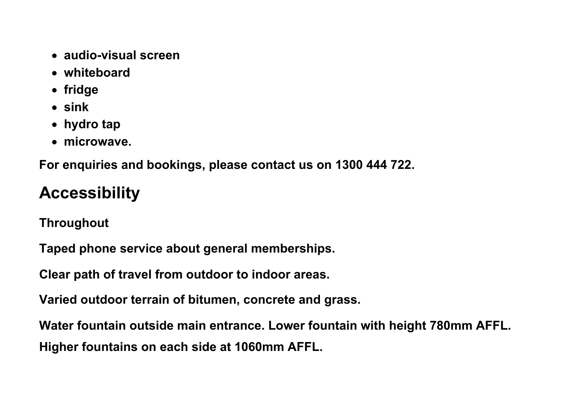- **audio-visual screen**
- **whiteboard**
- **fridge**
- **sink**
- **hydro tap**
- **microwave.**

**For enquiries and bookings, please contact us on 1300 444 722.**

# **Accessibility**

**Throughout**

**Taped phone service about general memberships.**

**Clear path of travel from outdoor to indoor areas.**

**Varied outdoor terrain of bitumen, concrete and grass.**

**Water fountain outside main entrance. Lower fountain with height 780mm AFFL. Higher fountains on each side at 1060mm AFFL.**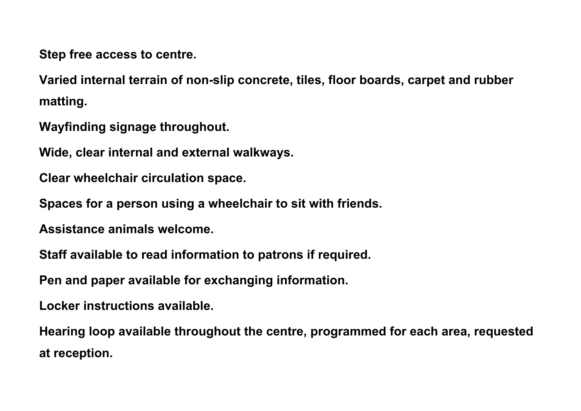**Step free access to centre.**

**Varied internal terrain of non-slip concrete, tiles, floor boards, carpet and rubber matting.**

**Wayfinding signage throughout.**

**Wide, clear internal and external walkways.**

**Clear wheelchair circulation space.**

**Spaces for a person using a wheelchair to sit with friends.**

**Assistance animals welcome.**

**Staff available to read information to patrons if required.**

**Pen and paper available for exchanging information.**

**Locker instructions available.**

**Hearing loop available throughout the centre, programmed for each area, requested at reception.**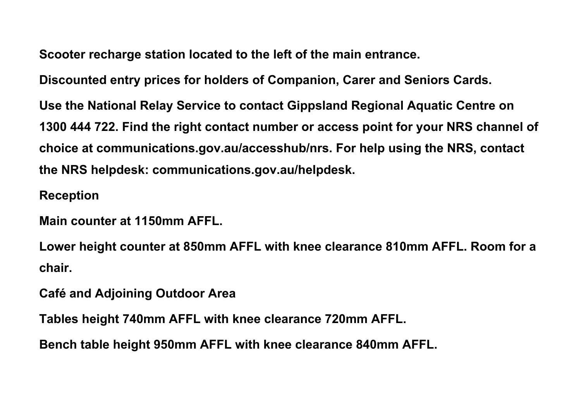**Scooter recharge station located to the left of the main entrance.**

**Discounted entry prices for holders of Companion, Carer and Seniors Cards.**

**Use the National Relay Service to contact Gippsland Regional Aquatic Centre on 1300 444 722. Find the right contact number or access point for your NRS channel of choice at communications.gov.au/accesshub/nrs. For help using the NRS, contact the NRS helpdesk: communications.gov.au/helpdesk.**

#### **Reception**

**Main counter at 1150mm AFFL.**

**Lower height counter at 850mm AFFL with knee clearance 810mm AFFL. Room for a chair.** 

**Café and Adjoining Outdoor Area**

**Tables height 740mm AFFL with knee clearance 720mm AFFL.**

**Bench table height 950mm AFFL with knee clearance 840mm AFFL.**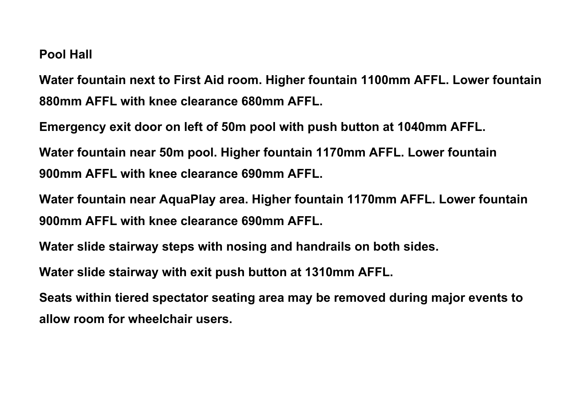#### **Pool Hall**

**Water fountain next to First Aid room. Higher fountain 1100mm AFFL. Lower fountain 880mm AFFL with knee clearance 680mm AFFL.**

**Emergency exit door on left of 50m pool with push button at 1040mm AFFL.**

**Water fountain near 50m pool. Higher fountain 1170mm AFFL. Lower fountain 900mm AFFL with knee clearance 690mm AFFL.**

**Water fountain near AquaPlay area. Higher fountain 1170mm AFFL. Lower fountain 900mm AFFL with knee clearance 690mm AFFL.**

**Water slide stairway steps with nosing and handrails on both sides.**

**Water slide stairway with exit push button at 1310mm AFFL.**

**Seats within tiered spectator seating area may be removed during major events to allow room for wheelchair users.**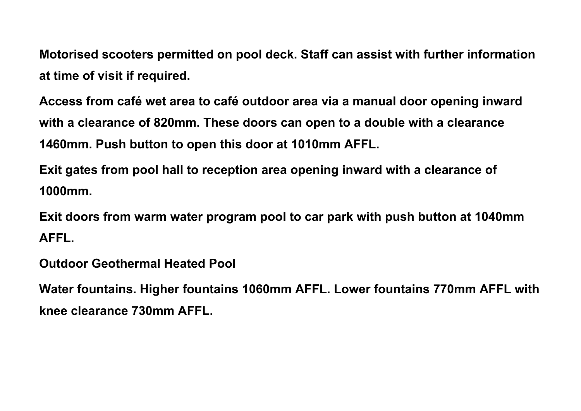**Motorised scooters permitted on pool deck. Staff can assist with further information at time of visit if required.**

**Access from café wet area to café outdoor area via a manual door opening inward with a clearance of 820mm. These doors can open to a double with a clearance 1460mm. Push button to open this door at 1010mm AFFL.**

**Exit gates from pool hall to reception area opening inward with a clearance of 1000mm.**

**Exit doors from warm water program pool to car park with push button at 1040mm AFFL.**

**Outdoor Geothermal Heated Pool**

**Water fountains. Higher fountains 1060mm AFFL. Lower fountains 770mm AFFL with knee clearance 730mm AFFL.**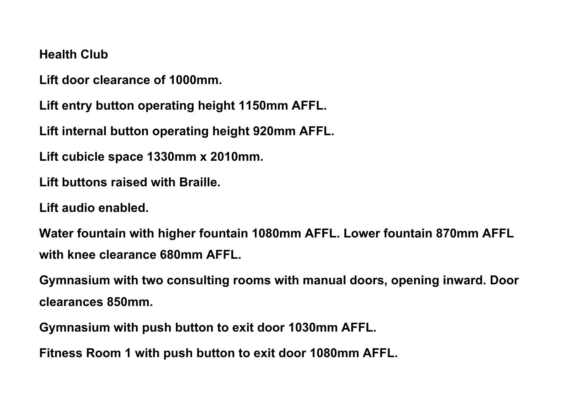#### **Health Club**

**Lift door clearance of 1000mm.**

**Lift entry button operating height 1150mm AFFL.**

**Lift internal button operating height 920mm AFFL.**

**Lift cubicle space 1330mm x 2010mm.**

**Lift buttons raised with Braille.**

**Lift audio enabled.**

**Water fountain with higher fountain 1080mm AFFL. Lower fountain 870mm AFFL with knee clearance 680mm AFFL.**

**Gymnasium with two consulting rooms with manual doors, opening inward. Door clearances 850mm.**

**Gymnasium with push button to exit door 1030mm AFFL.**

**Fitness Room 1 with push button to exit door 1080mm AFFL.**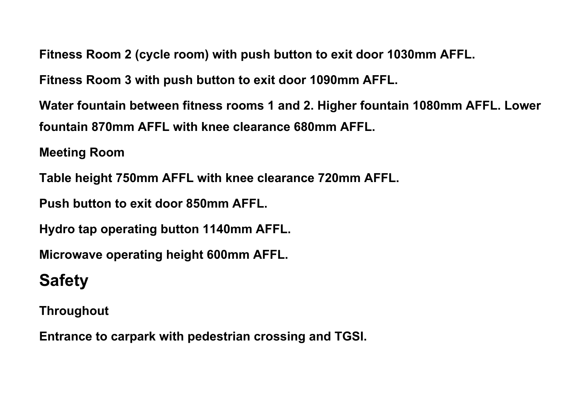**Fitness Room 2 (cycle room) with push button to exit door 1030mm AFFL.**

**Fitness Room 3 with push button to exit door 1090mm AFFL.**

**Water fountain between fitness rooms 1 and 2. Higher fountain 1080mm AFFL. Lower fountain 870mm AFFL with knee clearance 680mm AFFL.**

**Meeting Room**

**Table height 750mm AFFL with knee clearance 720mm AFFL.**

**Push button to exit door 850mm AFFL.**

**Hydro tap operating button 1140mm AFFL.**

**Microwave operating height 600mm AFFL.**

# **Safety**

**Throughout**

**Entrance to carpark with pedestrian crossing and TGSI.**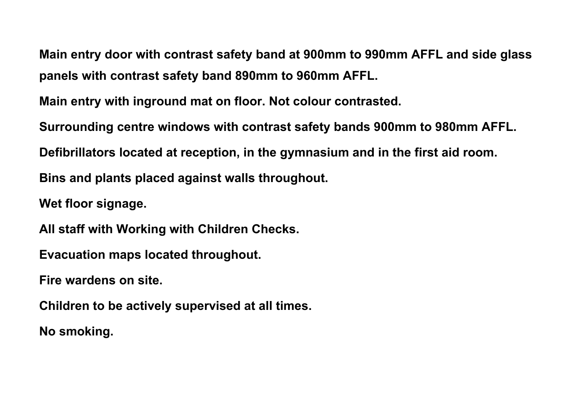**Main entry door with contrast safety band at 900mm to 990mm AFFL and side glass panels with contrast safety band 890mm to 960mm AFFL.** 

**Main entry with inground mat on floor. Not colour contrasted.**

**Surrounding centre windows with contrast safety bands 900mm to 980mm AFFL. Defibrillators located at reception, in the gymnasium and in the first aid room. Bins and plants placed against walls throughout.**

**Wet floor signage.**

**All staff with Working with Children Checks.**

**Evacuation maps located throughout.**

**Fire wardens on site.**

**Children to be actively supervised at all times.**

**No smoking.**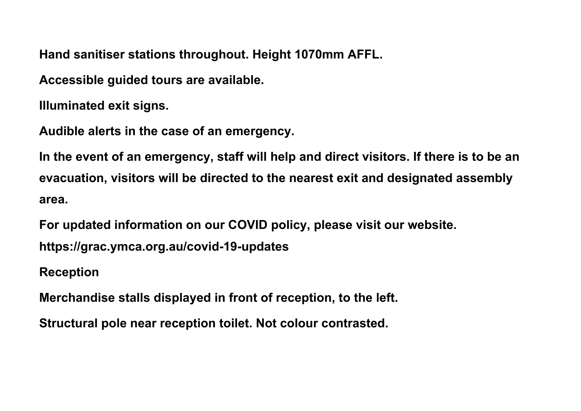**Hand sanitiser stations throughout. Height 1070mm AFFL.**

**Accessible guided tours are available.**

**Illuminated exit signs.**

**Audible alerts in the case of an emergency.**

**In the event of an emergency, staff will help and direct visitors. If there is to be an evacuation, visitors will be directed to the nearest exit and designated assembly area.** 

**For updated information on our COVID policy, please visit our website.** 

**https://grac.ymca.org.au/covid-19-updates**

**Reception**

**Merchandise stalls displayed in front of reception, to the left.**

**Structural pole near reception toilet. Not colour contrasted.**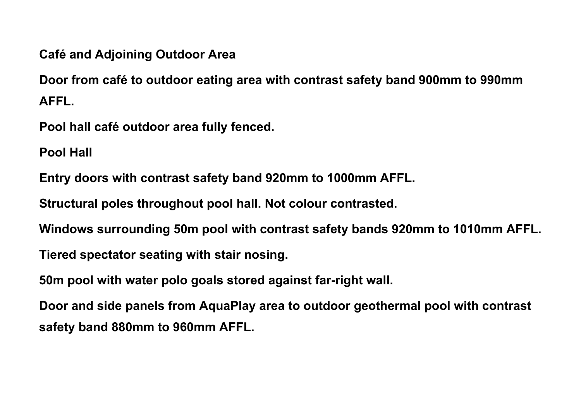**Café and Adjoining Outdoor Area**

**Door from café to outdoor eating area with contrast safety band 900mm to 990mm AFFL.**

**Pool hall café outdoor area fully fenced.**

**Pool Hall**

**Entry doors with contrast safety band 920mm to 1000mm AFFL.**

**Structural poles throughout pool hall. Not colour contrasted.**

**Windows surrounding 50m pool with contrast safety bands 920mm to 1010mm AFFL.**

**Tiered spectator seating with stair nosing.**

**50m pool with water polo goals stored against far-right wall.**

**Door and side panels from AquaPlay area to outdoor geothermal pool with contrast safety band 880mm to 960mm AFFL.**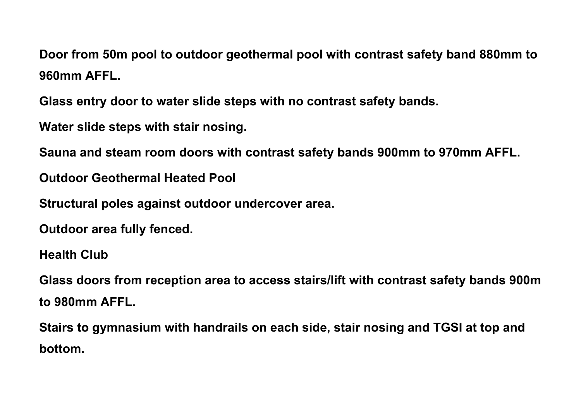**Door from 50m pool to outdoor geothermal pool with contrast safety band 880mm to 960mm AFFL.**

**Glass entry door to water slide steps with no contrast safety bands.**

**Water slide steps with stair nosing.**

**Sauna and steam room doors with contrast safety bands 900mm to 970mm AFFL.**

**Outdoor Geothermal Heated Pool**

**Structural poles against outdoor undercover area.** 

**Outdoor area fully fenced.**

**Health Club**

**Glass doors from reception area to access stairs/lift with contrast safety bands 900m to 980mm AFFL.**

**Stairs to gymnasium with handrails on each side, stair nosing and TGSI at top and bottom.**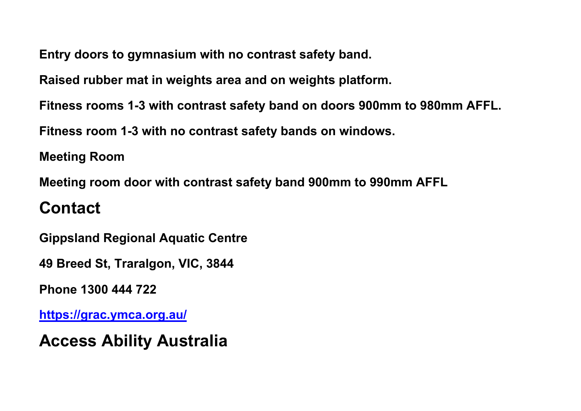**Entry doors to gymnasium with no contrast safety band.**

**Raised rubber mat in weights area and on weights platform.**

**Fitness rooms 1-3 with contrast safety band on doors 900mm to 980mm AFFL.**

**Fitness room 1-3 with no contrast safety bands on windows.**

**Meeting Room**

**Meeting room door with contrast safety band 900mm to 990mm AFFL**

# **Contact**

**Gippsland Regional Aquatic Centre**

**49 Breed St, Traralgon, VIC, 3844**

**Phone 1300 444 722**

**<https://grac.ymca.org.au/>**

**Access Ability Australia**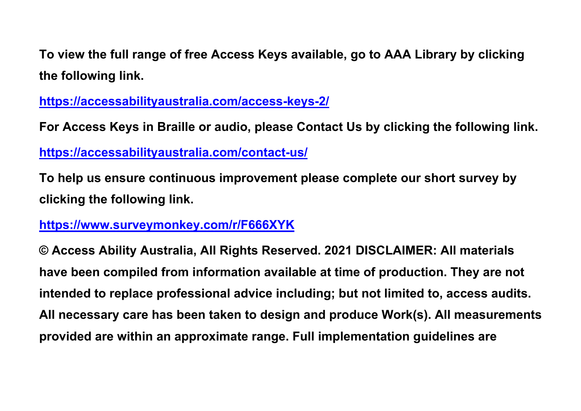**To view the full range of free Access Keys available, go to AAA Library by clicking the following link.**

**<https://accessabilityaustralia.com/access-keys-2/>**

**For Access Keys in Braille or audio, please Contact Us by clicking the following link. <https://accessabilityaustralia.com/contact-us/>**

**To help us ensure continuous improvement please complete our short survey by clicking the following link.**

**<https://www.surveymonkey.com/r/F666XYK>**

**© Access Ability Australia, All Rights Reserved. 2021 DISCLAIMER: All materials have been compiled from information available at time of production. They are not intended to replace professional advice including; but not limited to, access audits. All necessary care has been taken to design and produce Work(s). All measurements provided are within an approximate range. Full implementation guidelines are**